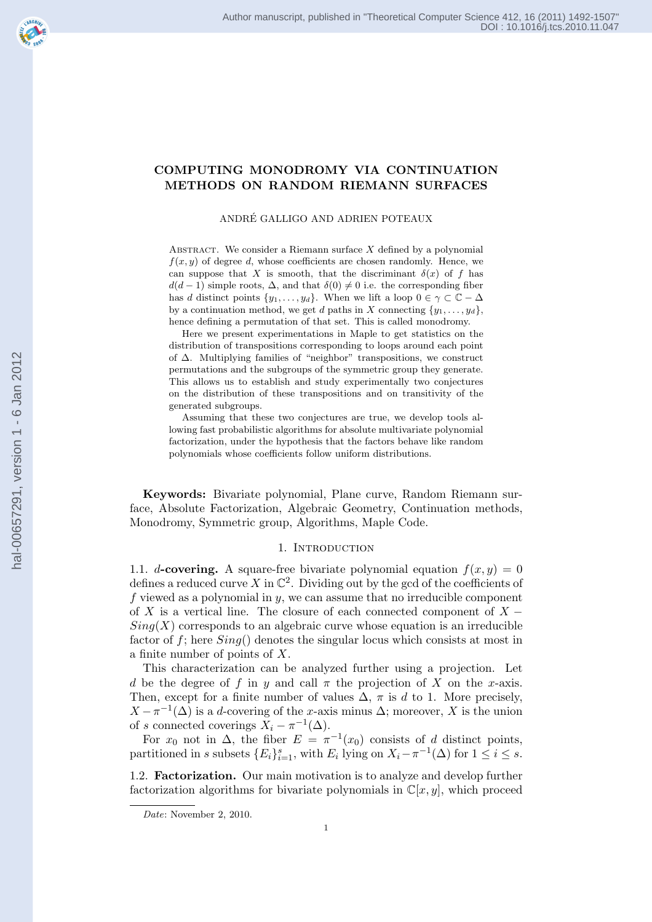# COMPUTING MONODROMY VIA CONTINUATION METHODS ON RANDOM RIEMANN SURFACES

### ANDRE GALLIGO AND ADRIEN POTEAUX ´

ABSTRACT. We consider a Riemann surface  $X$  defined by a polynomial  $f(x, y)$  of degree d, whose coefficients are chosen randomly. Hence, we can suppose that X is smooth, that the discriminant  $\delta(x)$  of f has  $d(d-1)$  simple roots,  $\Delta$ , and that  $\delta(0) \neq 0$  i.e. the corresponding fiber has d distinct points  $\{y_1, \ldots, y_d\}$ . When we lift a loop  $0 \in \gamma \subset \mathbb{C} - \Delta$ by a continuation method, we get d paths in X connecting  $\{y_1, \ldots, y_d\}$ , hence defining a permutation of that set. This is called monodromy.

Here we present experimentations in Maple to get statistics on the distribution of transpositions corresponding to loops around each point of ∆. Multiplying families of "neighbor" transpositions, we construct permutations and the subgroups of the symmetric group they generate. This allows us to establish and study experimentally two conjectures on the distribution of these transpositions and on transitivity of the generated subgroups.

Assuming that these two conjectures are true, we develop tools allowing fast probabilistic algorithms for absolute multivariate polynomial factorization, under the hypothesis that the factors behave like random polynomials whose coefficients follow uniform distributions.

Keywords: Bivariate polynomial, Plane curve, Random Riemann surface, Absolute Factorization, Algebraic Geometry, Continuation methods, Monodromy, Symmetric group, Algorithms, Maple Code.

## 1. INTRODUCTION

1.1. d-covering. A square-free bivariate polynomial equation  $f(x, y) = 0$ defines a reduced curve X in  $\mathbb{C}^2$ . Dividing out by the gcd of the coefficients of f viewed as a polynomial in  $y$ , we can assume that no irreducible component of X is a vertical line. The closure of each connected component of  $X Sing(X)$  corresponds to an algebraic curve whose equation is an irreducible factor of f; here  $Sing()$  denotes the singular locus which consists at most in a finite number of points of X.

This characterization can be analyzed further using a projection. Let d be the degree of f in y and call  $\pi$  the projection of X on the x-axis. Then, except for a finite number of values  $\Delta$ ,  $\pi$  is d to 1. More precisely,  $X - \pi^{-1}(\Delta)$  is a d-covering of the x-axis minus  $\Delta$ ; moreover, X is the union of s connected coverings  $X_i - \pi^{-1}(\Delta)$ .

For  $x_0$  not in  $\Delta$ , the fiber  $E = \pi^{-1}(x_0)$  consists of d distinct points, partitioned in s subsets  $\{E_i\}_{i=1}^s$ , with  $E_i$  lying on  $X_i - \pi^{-1}(\Delta)$  for  $1 \le i \le s$ .

1.2. Factorization. Our main motivation is to analyze and develop further factorization algorithms for bivariate polynomials in  $\mathbb{C}[x, y]$ , which proceed

*Date*: November 2, 2010.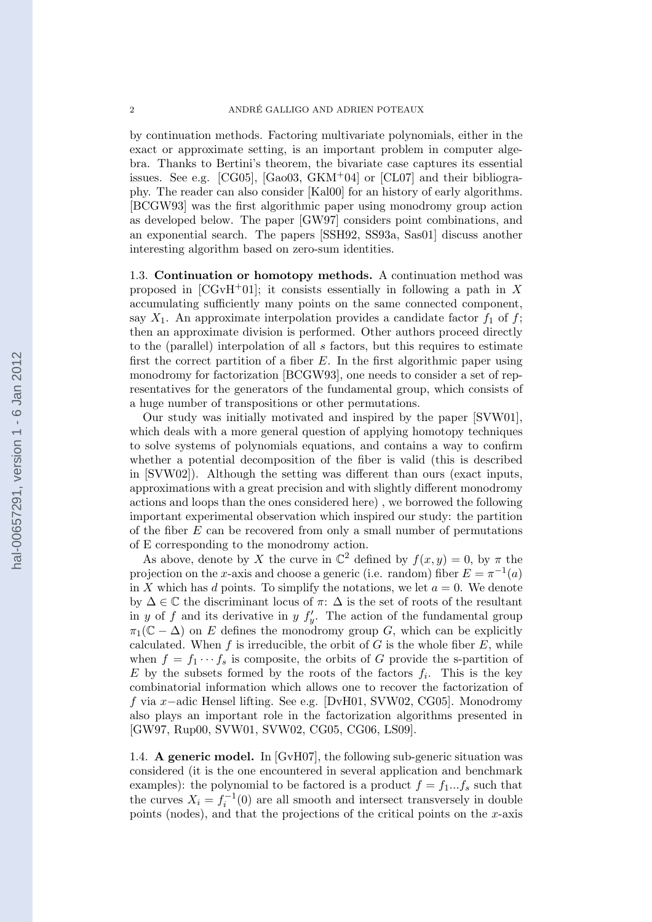by continuation methods. Factoring multivariate polynomials, either in the exact or approximate setting, is an important problem in computer algebra. Thanks to Bertini's theorem, the bivariate case captures its essential issues. See e.g.  $[CG05]$ ,  $[Ga003, \text{GKM}^+04]$  or  $[CL07]$  and their bibliography. The reader can also consider [Kal00] for an history of early algorithms. [BCGW93] was the first algorithmic paper using monodromy group action as developed below. The paper [GW97] considers point combinations, and an exponential search. The papers [SSH92, SS93a, Sas01] discuss another interesting algorithm based on zero-sum identities.

1.3. Continuation or homotopy methods. A continuation method was proposed in  $[CGvH<sup>+</sup>01]$ ; it consists essentially in following a path in X accumulating sufficiently many points on the same connected component, say  $X_1$ . An approximate interpolation provides a candidate factor  $f_1$  of f; then an approximate division is performed. Other authors proceed directly to the (parallel) interpolation of all s factors, but this requires to estimate first the correct partition of a fiber  $E$ . In the first algorithmic paper using monodromy for factorization [BCGW93], one needs to consider a set of representatives for the generators of the fundamental group, which consists of a huge number of transpositions or other permutations.

Our study was initially motivated and inspired by the paper [SVW01], which deals with a more general question of applying homotopy techniques to solve systems of polynomials equations, and contains a way to confirm whether a potential decomposition of the fiber is valid (this is described in [SVW02]). Although the setting was different than ours (exact inputs, approximations with a great precision and with slightly different monodromy actions and loops than the ones considered here) , we borrowed the following important experimental observation which inspired our study: the partition of the fiber  $E$  can be recovered from only a small number of permutations of E corresponding to the monodromy action.

As above, denote by X the curve in  $\mathbb{C}^2$  defined by  $f(x, y) = 0$ , by  $\pi$  the projection on the x-axis and choose a generic (i.e. random) fiber  $E = \pi^{-1}(a)$ in X which has d points. To simplify the notations, we let  $a = 0$ . We denote by  $\Delta \in \mathbb{C}$  the discriminant locus of  $\pi$ :  $\Delta$  is the set of roots of the resultant in y of f and its derivative in y  $f'_y$ . The action of the fundamental group  $\pi_1(\mathbb{C} - \Delta)$  on E defines the monodromy group G, which can be explicitly calculated. When f is irreducible, the orbit of G is the whole fiber  $E$ , while when  $f = f_1 \cdots f_s$  is composite, the orbits of G provide the s-partition of E by the subsets formed by the roots of the factors  $f_i$ . This is the key combinatorial information which allows one to recover the factorization of f via x−adic Hensel lifting. See e.g. [DvH01, SVW02, CG05]. Monodromy also plays an important role in the factorization algorithms presented in [GW97, Rup00, SVW01, SVW02, CG05, CG06, LS09].

1.4. A generic model. In [GvH07], the following sub-generic situation was considered (it is the one encountered in several application and benchmark examples): the polynomial to be factored is a product  $f = f_1...f_s$  such that the curves  $X_i = f_i^{-1}(0)$  are all smooth and intersect transversely in double points (nodes), and that the projections of the critical points on the  $x$ -axis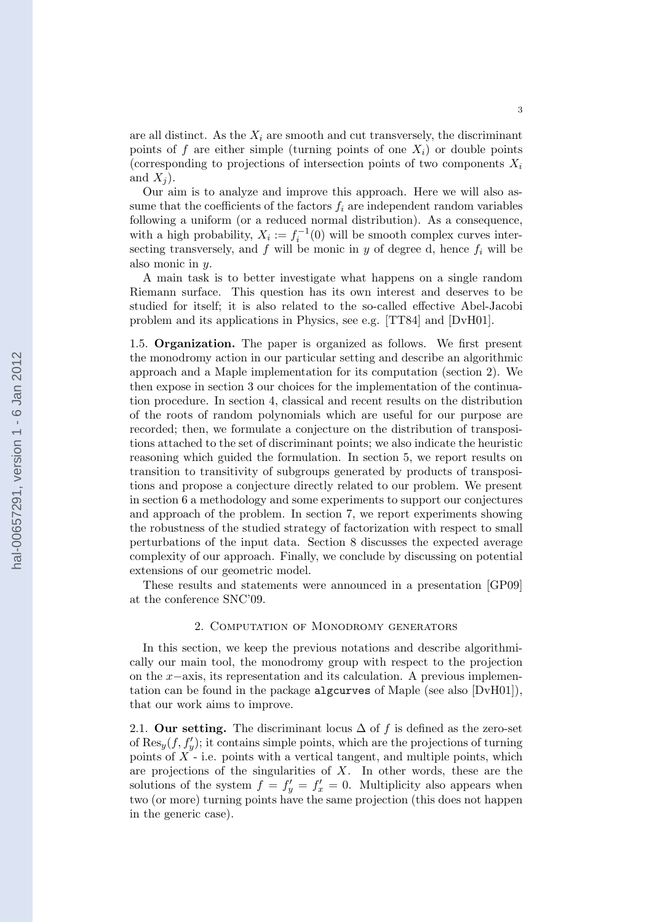are all distinct. As the  $X_i$  are smooth and cut transversely, the discriminant points of f are either simple (turning points of one  $X_i$ ) or double points (corresponding to projections of intersection points of two components  $X_i$ and  $X_i$ ).

Our aim is to analyze and improve this approach. Here we will also assume that the coefficients of the factors  $f_i$  are independent random variables following a uniform (or a reduced normal distribution). As a consequence, with a high probability,  $X_i := f_i^{-1}(0)$  will be smooth complex curves intersecting transversely, and f will be monic in y of degree d, hence  $f_i$  will be also monic in y.

A main task is to better investigate what happens on a single random Riemann surface. This question has its own interest and deserves to be studied for itself; it is also related to the so-called effective Abel-Jacobi problem and its applications in Physics, see e.g. [TT84] and [DvH01].

1.5. Organization. The paper is organized as follows. We first present the monodromy action in our particular setting and describe an algorithmic approach and a Maple implementation for its computation (section 2). We then expose in section 3 our choices for the implementation of the continuation procedure. In section 4, classical and recent results on the distribution of the roots of random polynomials which are useful for our purpose are recorded; then, we formulate a conjecture on the distribution of transpositions attached to the set of discriminant points; we also indicate the heuristic reasoning which guided the formulation. In section 5, we report results on transition to transitivity of subgroups generated by products of transpositions and propose a conjecture directly related to our problem. We present in section 6 a methodology and some experiments to support our conjectures and approach of the problem. In section 7, we report experiments showing the robustness of the studied strategy of factorization with respect to small perturbations of the input data. Section 8 discusses the expected average complexity of our approach. Finally, we conclude by discussing on potential extensions of our geometric model.

These results and statements were announced in a presentation [GP09] at the conference SNC'09.

#### 2. Computation of Monodromy generators

In this section, we keep the previous notations and describe algorithmically our main tool, the monodromy group with respect to the projection on the x−axis, its representation and its calculation. A previous implementation can be found in the package algcurves of Maple (see also [DvH01]), that our work aims to improve.

2.1. Our setting. The discriminant locus  $\Delta$  of f is defined as the zero-set of  $\text{Res}_y(f, f'_y)$ ; it contains simple points, which are the projections of turning points of  $X$  - i.e. points with a vertical tangent, and multiple points, which are projections of the singularities of  $X$ . In other words, these are the solutions of the system  $f = f'_y = f'_x = 0$ . Multiplicity also appears when two (or more) turning points have the same projection (this does not happen in the generic case).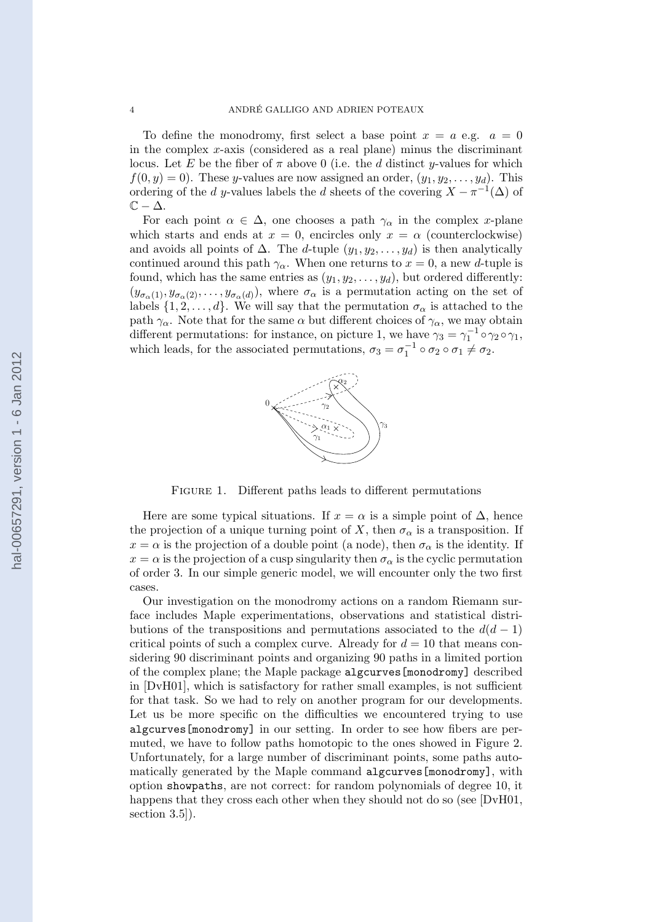To define the monodromy, first select a base point  $x = a$  e.g.  $a = 0$ in the complex  $x$ -axis (considered as a real plane) minus the discriminant locus. Let E be the fiber of  $\pi$  above 0 (i.e. the d distinct y-values for which  $f(0, y) = 0$ . These y-values are now assigned an order,  $(y_1, y_2, \ldots, y_d)$ . This ordering of the d y-values labels the d sheets of the covering  $X - \pi^{-1}(\Delta)$  of  $\mathbb{C} - \Delta$ .

For each point  $\alpha \in \Delta$ , one chooses a path  $\gamma_{\alpha}$  in the complex x-plane which starts and ends at  $x = 0$ , encircles only  $x = \alpha$  (counterclockwise) and avoids all points of  $\Delta$ . The d-tuple  $(y_1, y_2, \ldots, y_d)$  is then analytically continued around this path  $\gamma_{\alpha}$ . When one returns to  $x = 0$ , a new d-tuple is found, which has the same entries as  $(y_1, y_2, \ldots, y_d)$ , but ordered differently:  $(y_{\sigma_\alpha(1)}, y_{\sigma_\alpha(2)}, \ldots, y_{\sigma_\alpha(d)})$ , where  $\sigma_\alpha$  is a permutation acting on the set of labels  $\{1, 2, \ldots, d\}$ . We will say that the permutation  $\sigma_{\alpha}$  is attached to the path  $\gamma_{\alpha}$ . Note that for the same  $\alpha$  but different choices of  $\gamma_{\alpha}$ , we may obtain different permutations: for instance, on picture 1, we have  $\gamma_3 = \gamma_1^{-1} \circ \gamma_2 \circ \gamma_1$ , which leads, for the associated permutations,  $\sigma_3 = \sigma_1^{-1} \circ \sigma_2 \circ \sigma_1 \neq \sigma_2$ .



FIGURE 1. Different paths leads to different permutations

Here are some typical situations. If  $x = \alpha$  is a simple point of  $\Delta$ , hence the projection of a unique turning point of X, then  $\sigma_{\alpha}$  is a transposition. If  $x = \alpha$  is the projection of a double point (a node), then  $\sigma_{\alpha}$  is the identity. If  $x = \alpha$  is the projection of a cusp singularity then  $\sigma_{\alpha}$  is the cyclic permutation of order 3. In our simple generic model, we will encounter only the two first cases.

Our investigation on the monodromy actions on a random Riemann surface includes Maple experimentations, observations and statistical distributions of the transpositions and permutations associated to the  $d(d-1)$ critical points of such a complex curve. Already for  $d = 10$  that means considering 90 discriminant points and organizing 90 paths in a limited portion of the complex plane; the Maple package algcurves[monodromy] described in [DvH01], which is satisfactory for rather small examples, is not sufficient for that task. So we had to rely on another program for our developments. Let us be more specific on the difficulties we encountered trying to use algcurves[monodromy] in our setting. In order to see how fibers are permuted, we have to follow paths homotopic to the ones showed in Figure 2. Unfortunately, for a large number of discriminant points, some paths automatically generated by the Maple command algcurves[monodromy], with option showpaths, are not correct: for random polynomials of degree 10, it happens that they cross each other when they should not do so (see [DvH01, section 3.5]).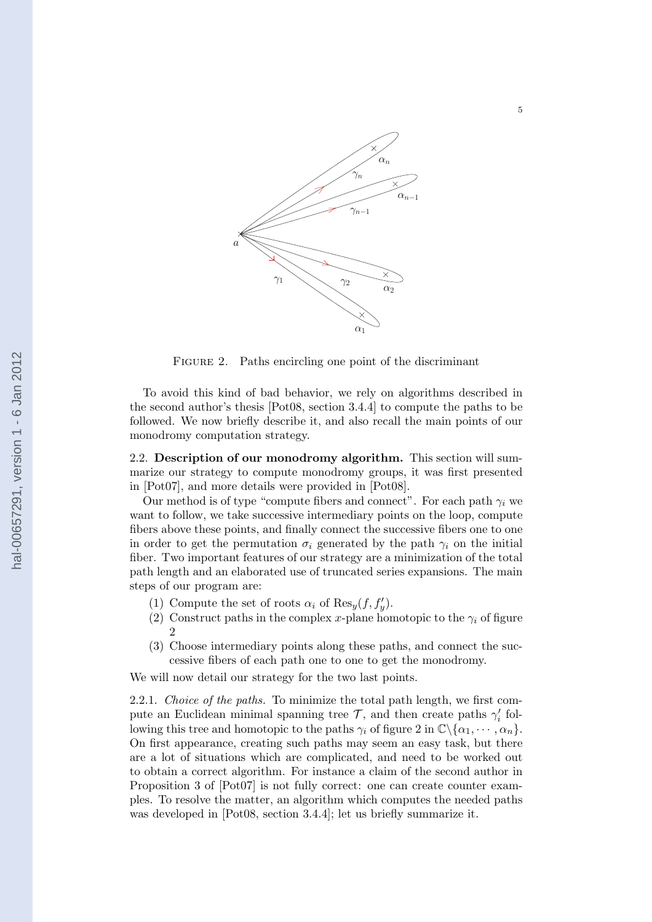

FIGURE 2. Paths encircling one point of the discriminant

To avoid this kind of bad behavior, we rely on algorithms described in the second author's thesis [Pot08, section 3.4.4] to compute the paths to be followed. We now briefly describe it, and also recall the main points of our monodromy computation strategy.

2.2. Description of our monodromy algorithm. This section will summarize our strategy to compute monodromy groups, it was first presented in [Pot07], and more details were provided in [Pot08].

Our method is of type "compute fibers and connect". For each path  $\gamma_i$  we want to follow, we take successive intermediary points on the loop, compute fibers above these points, and finally connect the successive fibers one to one in order to get the permutation  $\sigma_i$  generated by the path  $\gamma_i$  on the initial fiber. Two important features of our strategy are a minimization of the total path length and an elaborated use of truncated series expansions. The main steps of our program are:

- (1) Compute the set of roots  $\alpha_i$  of  $\text{Res}_y(f, f'_y)$ .
- (2) Construct paths in the complex x-plane homotopic to the  $\gamma_i$  of figure 2
- (3) Choose intermediary points along these paths, and connect the successive fibers of each path one to one to get the monodromy.

We will now detail our strategy for the two last points.

2.2.1. Choice of the paths. To minimize the total path length, we first compute an Euclidean minimal spanning tree  $\mathcal{T}$ , and then create paths  $\gamma'_i$  following this tree and homotopic to the paths  $\gamma_i$  of figure 2 in  $\mathbb{C}\backslash {\alpha_1, \cdots, \alpha_n}$ . On first appearance, creating such paths may seem an easy task, but there are a lot of situations which are complicated, and need to be worked out to obtain a correct algorithm. For instance a claim of the second author in Proposition 3 of [Pot07] is not fully correct: one can create counter examples. To resolve the matter, an algorithm which computes the needed paths was developed in [Pot08, section 3.4.4]; let us briefly summarize it.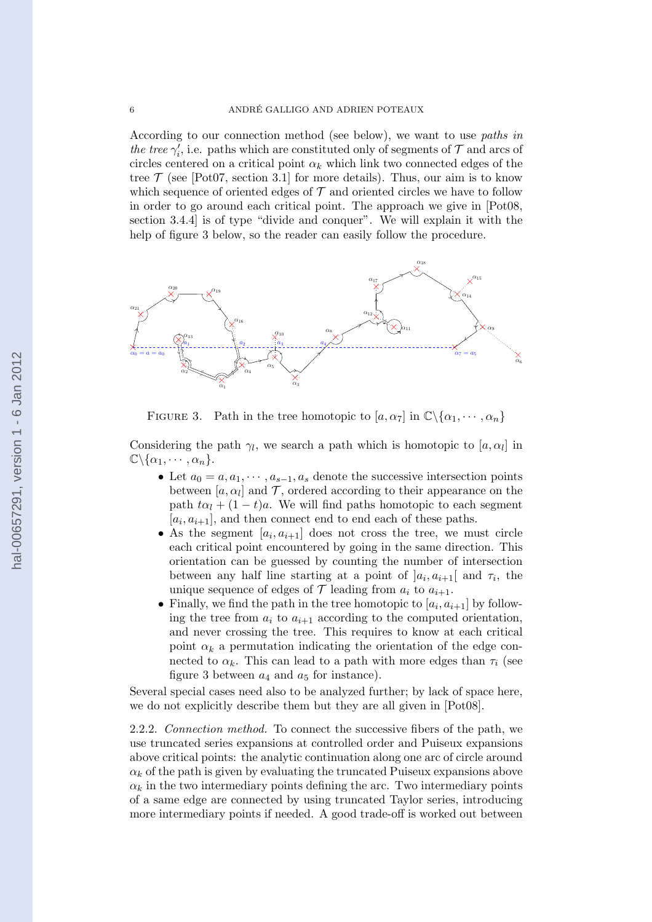According to our connection method (see below), we want to use paths in the tree  $\gamma'_i$ , i.e. paths which are constituted only of segments of  $\mathcal T$  and arcs of circles centered on a critical point  $\alpha_k$  which link two connected edges of the tree  $\mathcal T$  (see [Pot07, section 3.1] for more details). Thus, our aim is to know which sequence of oriented edges of  $\mathcal T$  and oriented circles we have to follow in order to go around each critical point. The approach we give in [Pot08, section 3.4.4] is of type "divide and conquer". We will explain it with the help of figure 3 below, so the reader can easily follow the procedure.



FIGURE 3. Path in the tree homotopic to  $[a, \alpha_7]$  in  $\mathbb{C}\backslash {\alpha_1, \cdots, \alpha_n}$ 

Considering the path  $\gamma_l$ , we search a path which is homotopic to  $[a, \alpha_l]$  in  $\mathbb{C}\backslash {\alpha_1, \cdots, \alpha_n}.$ 

- Let  $a_0 = a, a_1, \dots, a_{s-1}, a_s$  denote the successive intersection points between  $[a, \alpha_l]$  and  $\mathcal{T}$ , ordered according to their appearance on the path  $t\alpha_l + (1 - t)a$ . We will find paths homotopic to each segment  $[a_i, a_{i+1}]$ , and then connect end to end each of these paths.
- As the segment  $[a_i, a_{i+1}]$  does not cross the tree, we must circle each critical point encountered by going in the same direction. This orientation can be guessed by counting the number of intersection between any half line starting at a point of  $]a_i, a_{i+1}[$  and  $\tau_i$ , the unique sequence of edges of  $\mathcal T$  leading from  $a_i$  to  $a_{i+1}$ .
- Finally, we find the path in the tree homotopic to  $[a_i, a_{i+1}]$  by following the tree from  $a_i$  to  $a_{i+1}$  according to the computed orientation, and never crossing the tree. This requires to know at each critical point  $\alpha_k$  a permutation indicating the orientation of the edge connected to  $\alpha_k$ . This can lead to a path with more edges than  $\tau_i$  (see figure 3 between  $a_4$  and  $a_5$  for instance).

Several special cases need also to be analyzed further; by lack of space here, we do not explicitly describe them but they are all given in [Pot08].

2.2.2. Connection method. To connect the successive fibers of the path, we use truncated series expansions at controlled order and Puiseux expansions above critical points: the analytic continuation along one arc of circle around  $\alpha_k$  of the path is given by evaluating the truncated Puiseux expansions above  $\alpha_k$  in the two intermediary points defining the arc. Two intermediary points of a same edge are connected by using truncated Taylor series, introducing more intermediary points if needed. A good trade-off is worked out between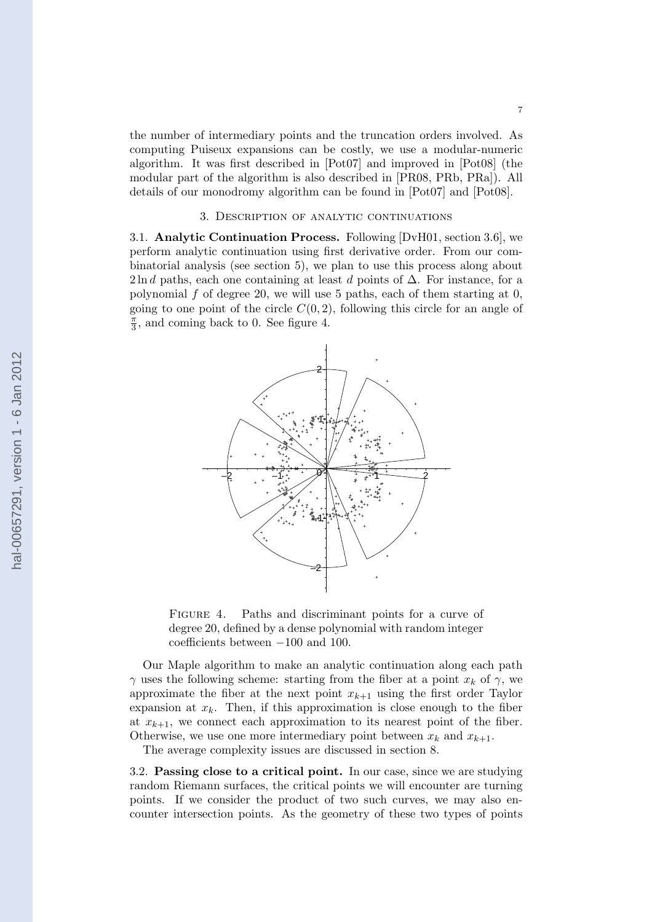the number of intermediary points and the truncation orders involved. As computing Puiseux expansions can be costly, we use a modular-numeric algorithm. It was first described in [Pot07] and improved in [Pot08] (the modular part of the algorithm is also described in [PR08, PRb, PRa]). All details of our monodromy algorithm can be found in [Pot07] and [Pot08].

# 3. Description of analytic continuations

3.1. Analytic Continuation Process. Following [DvH01, section 3.6], we perform analytic continuation using first derivative order. From our combinatorial analysis (see section 5), we plan to use this process along about 2ln d paths, each one containing at least d points of  $\Delta$ . For instance, for a polynomial f of degree 20, we will use 5 paths, each of them starting at  $0$ , going to one point of the circle  $C(0, 2)$ , following this circle for an angle of  $\frac{\pi}{2}$  $\frac{\pi}{3}$ , and coming back to 0. See figure 4.



FIGURE 4. Paths and discriminant points for a curve of degree 20, defined by a dense polynomial with random integer coefficients between −100 and 100.

Our Maple algorithm to make an analytic continuation along each path  $\gamma$  uses the following scheme: starting from the fiber at a point  $x_k$  of  $\gamma$ , we approximate the fiber at the next point  $x_{k+1}$  using the first order Taylor expansion at  $x_k$ . Then, if this approximation is close enough to the fiber at  $x_{k+1}$ , we connect each approximation to its nearest point of the fiber. Otherwise, we use one more intermediary point between  $x_k$  and  $x_{k+1}$ .

The average complexity issues are discussed in section 8.

3.2. Passing close to a critical point. In our case, since we are studying random Riemann surfaces, the critical points we will encounter are turning points. If we consider the product of two such curves, we may also encounter intersection points. As the geometry of these two types of points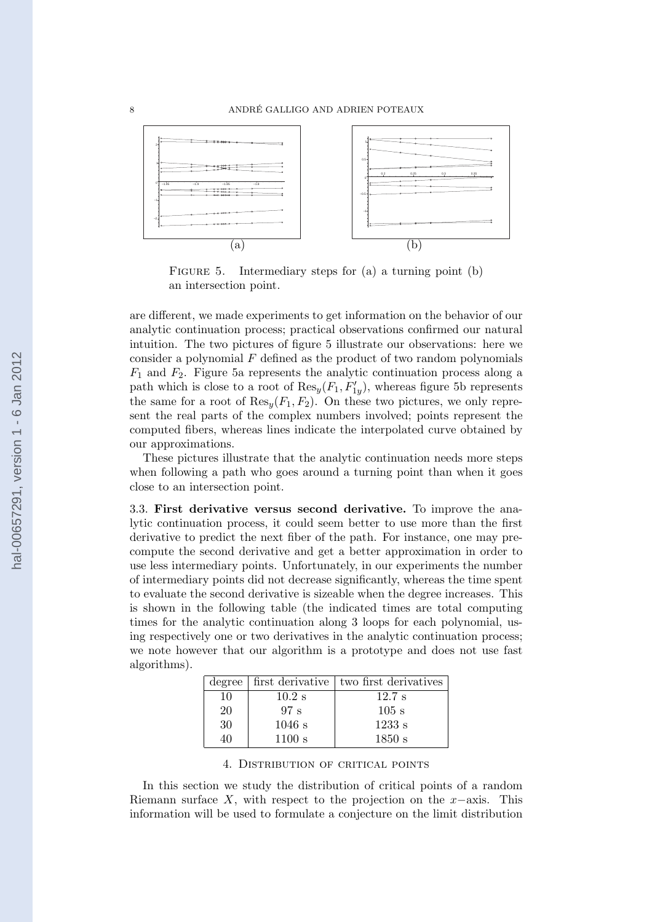

FIGURE 5. Intermediary steps for (a) a turning point (b) an intersection point.

are different, we made experiments to get information on the behavior of our analytic continuation process; practical observations confirmed our natural intuition. The two pictures of figure 5 illustrate our observations: here we consider a polynomial  $F$  defined as the product of two random polynomials  $F_1$  and  $F_2$ . Figure 5a represents the analytic continuation process along a path which is close to a root of  $\text{Res}_y(F_1, F'_{1y})$ , whereas figure 5b represents the same for a root of  $\text{Res}_{u}(F_1, F_2)$ . On these two pictures, we only represent the real parts of the complex numbers involved; points represent the computed fibers, whereas lines indicate the interpolated curve obtained by our approximations.

These pictures illustrate that the analytic continuation needs more steps when following a path who goes around a turning point than when it goes close to an intersection point.

3.3. First derivative versus second derivative. To improve the analytic continuation process, it could seem better to use more than the first derivative to predict the next fiber of the path. For instance, one may precompute the second derivative and get a better approximation in order to use less intermediary points. Unfortunately, in our experiments the number of intermediary points did not decrease significantly, whereas the time spent to evaluate the second derivative is sizeable when the degree increases. This is shown in the following table (the indicated times are total computing times for the analytic continuation along 3 loops for each polynomial, using respectively one or two derivatives in the analytic continuation process; we note however that our algorithm is a prototype and does not use fast algorithms).

|    |          | degree   first derivative   two first derivatives |
|----|----------|---------------------------------------------------|
| 10 | $10.2$ s | $12.7$ s                                          |
| 20 | 97 s     | $105$ s                                           |
| 30 | $1046$ s | 1233 s                                            |
| 40 | 1100 s   | 1850 s                                            |

4. Distribution of critical points

In this section we study the distribution of critical points of a random Riemann surface X, with respect to the projection on the  $x$ −axis. This information will be used to formulate a conjecture on the limit distribution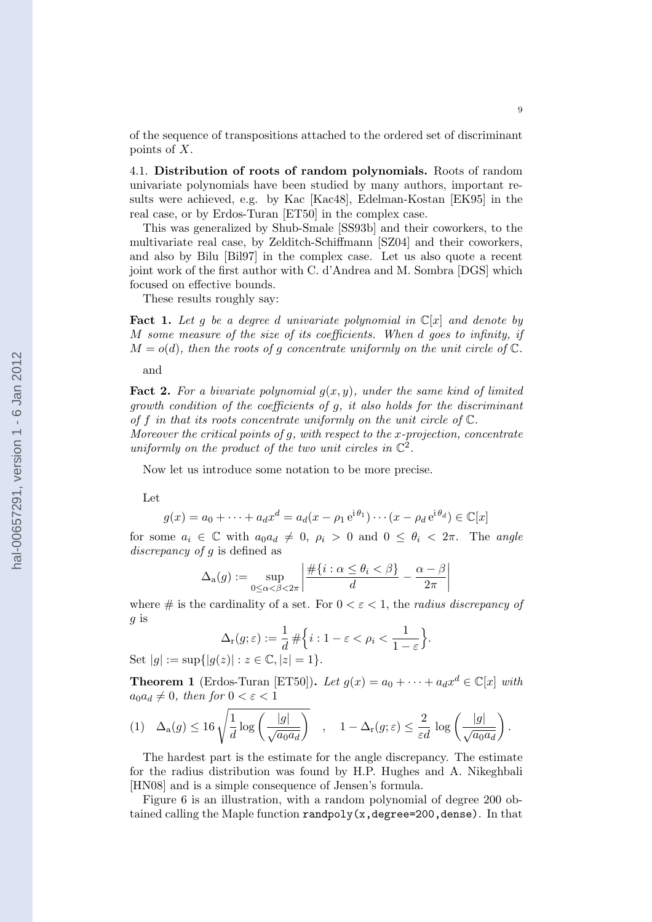of the sequence of transpositions attached to the ordered set of discriminant points of X.

4.1. Distribution of roots of random polynomials. Roots of random univariate polynomials have been studied by many authors, important results were achieved, e.g. by Kac [Kac48], Edelman-Kostan [EK95] in the real case, or by Erdos-Turan [ET50] in the complex case.

This was generalized by Shub-Smale [SS93b] and their coworkers, to the multivariate real case, by Zelditch-Schiffmann [SZ04] and their coworkers, and also by Bilu [Bil97] in the complex case. Let us also quote a recent joint work of the first author with C. d'Andrea and M. Sombra [DGS] which focused on effective bounds.

These results roughly say:

**Fact 1.** Let g be a degree d univariate polynomial in  $\mathbb{C}[x]$  and denote by M some measure of the size of its coefficients. When d goes to infinity, if  $M = o(d)$ , then the roots of q concentrate uniformly on the unit circle of  $\mathbb{C}$ .

and

**Fact 2.** For a bivariate polynomial  $q(x, y)$ , under the same kind of limited growth condition of the coefficients of g, it also holds for the discriminant of f in that its roots concentrate uniformly on the unit circle of  $\mathbb{C}$ .

Moreover the critical points of g, with respect to the x-projection, concentrate uniformly on the product of the two unit circles in  $\mathbb{C}^2$ .

Now let us introduce some notation to be more precise.

Let

$$
g(x) = a_0 + \dots + a_d x^d = a_d (x - \rho_1 e^{i\theta_1}) \cdots (x - \rho_d e^{i\theta_d}) \in \mathbb{C}[x]
$$

for some  $a_i \in \mathbb{C}$  with  $a_0 a_d \neq 0$ ,  $\rho_i > 0$  and  $0 \leq \theta_i < 2\pi$ . The angle discrepancy of g is defined as

$$
\Delta_{\mathbf{a}}(g) := \sup_{0 \le \alpha < \beta < 2\pi} \left| \frac{\#\{i : \alpha \le \theta_i < \beta\}}{d} - \frac{\alpha - \beta}{2\pi} \right|
$$

where  $\#$  is the cardinality of a set. For  $0 < \varepsilon < 1$ , the *radius discrepancy of* g is

$$
\Delta_{\mathbf{r}}(g;\varepsilon) := \frac{1}{d} \# \Big\{ i : 1 - \varepsilon < \rho_i < \frac{1}{1 - \varepsilon} \Big\}.
$$

Set  $|q| := \sup\{|q(z)| : z \in \mathbb{C}, |z| = 1\}.$ 

**Theorem 1** (Erdos-Turan [ET50]). Let  $g(x) = a_0 + \cdots + a_d x^d \in \mathbb{C}[x]$  with  $a_0a_d \neq 0$ , then for  $0 < \varepsilon < 1$ 

$$
(1) \quad \Delta_{\mathbf{a}}(g) \leq 16 \sqrt{\frac{1}{d} \log \left(\frac{|g|}{\sqrt{a_0 a_d}}\right)} \quad , \quad 1 - \Delta_{\mathbf{r}}(g; \varepsilon) \leq \frac{2}{\varepsilon d} \log \left(\frac{|g|}{\sqrt{a_0 a_d}}\right).
$$

The hardest part is the estimate for the angle discrepancy. The estimate for the radius distribution was found by H.P. Hughes and A. Nikeghbali [HN08] and is a simple consequence of Jensen's formula.

Figure 6 is an illustration, with a random polynomial of degree 200 obtained calling the Maple function randpoly( $x$ , degree=200, dense). In that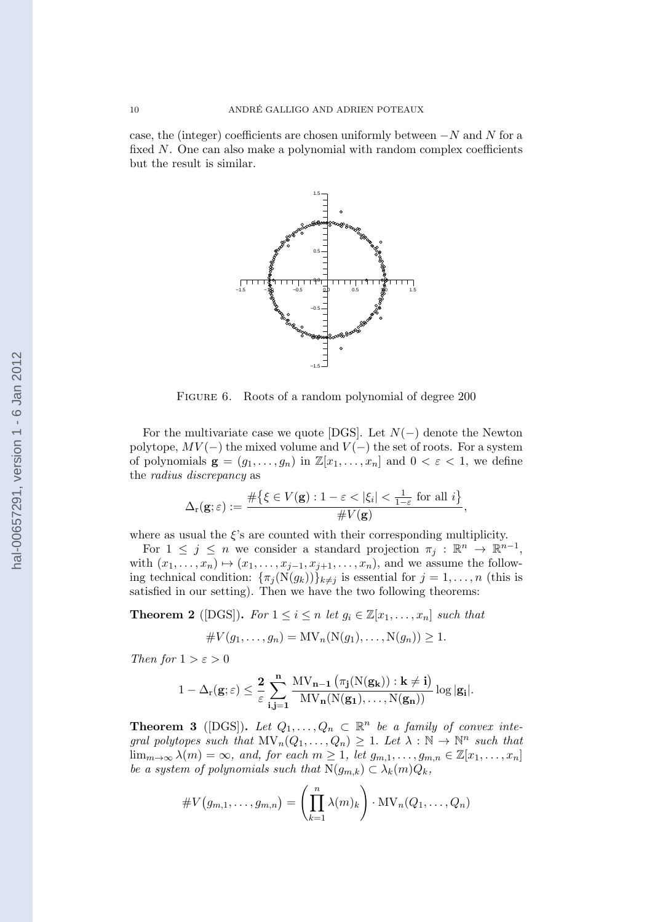case, the (integer) coefficients are chosen uniformly between  $-N$  and N for a fixed  $N$ . One can also make a polynomial with random complex coefficients but the result is similar.



FIGURE 6. Roots of a random polynomial of degree 200

For the multivariate case we quote [DGS]. Let  $N(-)$  denote the Newton polytope,  $MV(-)$  the mixed volume and  $V(-)$  the set of roots. For a system of polynomials  $\mathbf{g} = (g_1, \ldots, g_n)$  in  $\mathbb{Z}[x_1, \ldots, x_n]$  and  $0 < \varepsilon < 1$ , we define the radius discrepancy as

$$
\Delta_{\mathbf{r}}(\mathbf{g};\varepsilon) := \frac{\#\big\{\xi \in V(\mathbf{g}) : 1 - \varepsilon < |\xi_i| < \frac{1}{1-\varepsilon} \text{ for all } i\big\}}{\#V(\mathbf{g})},
$$

where as usual the  $\xi$ 's are counted with their corresponding multiplicity.

For  $1 \leq j \leq n$  we consider a standard projection  $\pi_j : \mathbb{R}^n \to \mathbb{R}^{n-1}$ , with  $(x_1, \ldots, x_n) \mapsto (x_1, \ldots, x_{j-1}, x_{j+1}, \ldots, x_n)$ , and we assume the following technical condition:  $\{\pi_j(N(g_k))\}_{k\neq j}$  is essential for  $j=1,\ldots,n$  (this is satisfied in our setting). Then we have the two following theorems:

**Theorem 2** ([DGS]). For  $1 \leq i \leq n$  let  $g_i \in \mathbb{Z}[x_1, \ldots, x_n]$  such that

$$
\#V(g_1,\ldots,g_n)=\mathrm{MV}_n(\mathrm{N}(g_1),\ldots,\mathrm{N}(g_n))\geq 1.
$$

Then for  $1 > \varepsilon > 0$ 

$$
1-\Delta_r({\bf g};\varepsilon) \leq \frac{2}{\varepsilon} \sum_{i,j=1}^n \frac{MV_{n-1}\left(\pi_j(N({\bf g_k})): {\bf k}\neq {\bf i}\right)}{MV_n(N({\bf g_1}),\ldots,N({\bf g_n}))}\log|{\bf g_i}|.
$$

**Theorem 3** ([DGS]). Let  $Q_1, \ldots, Q_n \subset \mathbb{R}^n$  be a family of convex integral polytopes such that  $\text{MV}_n(Q_1, \ldots, Q_n) \geq 1$ . Let  $\lambda : \mathbb{N} \to \mathbb{N}^n$  such that  $\lim_{m\to\infty}\lambda(m)=\infty$ , and, for each  $m\geq 1$ , let  $g_{m,1},\ldots,g_{m,n}\in\mathbb{Z}[x_1,\ldots,x_n]$ be a system of polynomials such that  $N(g_{m,k}) \subset \lambda_k(m)Q_k$ ,

$$
\#V(g_{m,1},\ldots,g_{m,n})=\left(\prod_{k=1}^n \lambda(m)_k\right)\cdot \text{MV}_n(Q_1,\ldots,Q_n)
$$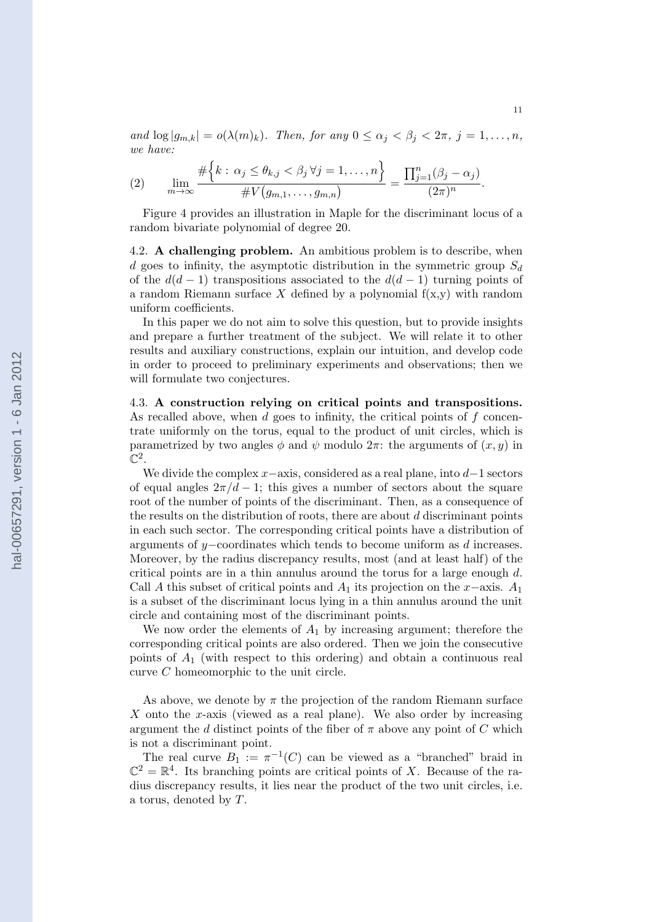and  $\log |g_{m,k}| = o(\lambda(m)_k)$ . Then, for any  $0 \le \alpha_j < \beta_j < 2\pi$ ,  $j = 1, \ldots, n$ , we have:

(2) 
$$
\lim_{m\to\infty}\frac{\#\Big\{k:\,\alpha_j\leq\theta_{k,j}<\beta_j\,\forall j=1,\ldots,n\Big\}}{\#V\big(g_{m,1},\ldots,g_{m,n}\big)}=\frac{\prod_{j=1}^n(\beta_j-\alpha_j)}{(2\pi)^n}.
$$

Figure 4 provides an illustration in Maple for the discriminant locus of a random bivariate polynomial of degree 20.

4.2. **A challenging problem.** An ambitious problem is to describe, when d goes to infinity, the asymptotic distribution in the symmetric group  $S_d$ of the  $d(d-1)$  transpositions associated to the  $d(d-1)$  turning points of a random Riemann surface X defined by a polynomial  $f(x,y)$  with random uniform coefficients.

In this paper we do not aim to solve this question, but to provide insights and prepare a further treatment of the subject. We will relate it to other results and auxiliary constructions, explain our intuition, and develop code in order to proceed to preliminary experiments and observations; then we will formulate two conjectures.

4.3. A construction relying on critical points and transpositions. As recalled above, when  $d$  goes to infinity, the critical points of  $f$  concentrate uniformly on the torus, equal to the product of unit circles, which is parametrized by two angles  $\phi$  and  $\psi$  modulo  $2\pi$ : the arguments of  $(x, y)$  in  $\mathbb{C}^2.$ 

We divide the complex  $x$ –axis, considered as a real plane, into  $d-1$  sectors of equal angles  $2\pi/d - 1$ ; this gives a number of sectors about the square root of the number of points of the discriminant. Then, as a consequence of the results on the distribution of roots, there are about  $d$  discriminant points in each such sector. The corresponding critical points have a distribution of arguments of y−coordinates which tends to become uniform as d increases. Moreover, by the radius discrepancy results, most (and at least half) of the critical points are in a thin annulus around the torus for a large enough  $d$ . Call A this subset of critical points and  $A_1$  its projection on the x−axis.  $A_1$ is a subset of the discriminant locus lying in a thin annulus around the unit circle and containing most of the discriminant points.

We now order the elements of  $A_1$  by increasing argument; therefore the corresponding critical points are also ordered. Then we join the consecutive points of  $A_1$  (with respect to this ordering) and obtain a continuous real curve C homeomorphic to the unit circle.

As above, we denote by  $\pi$  the projection of the random Riemann surface X onto the x-axis (viewed as a real plane). We also order by increasing argument the d distinct points of the fiber of  $\pi$  above any point of C which is not a discriminant point.

The real curve  $B_1 := \pi^{-1}(C)$  can be viewed as a "branched" braid in  $\mathbb{C}^2 = \mathbb{R}^4$ . Its branching points are critical points of X. Because of the radius discrepancy results, it lies near the product of the two unit circles, i.e. a torus, denoted by T.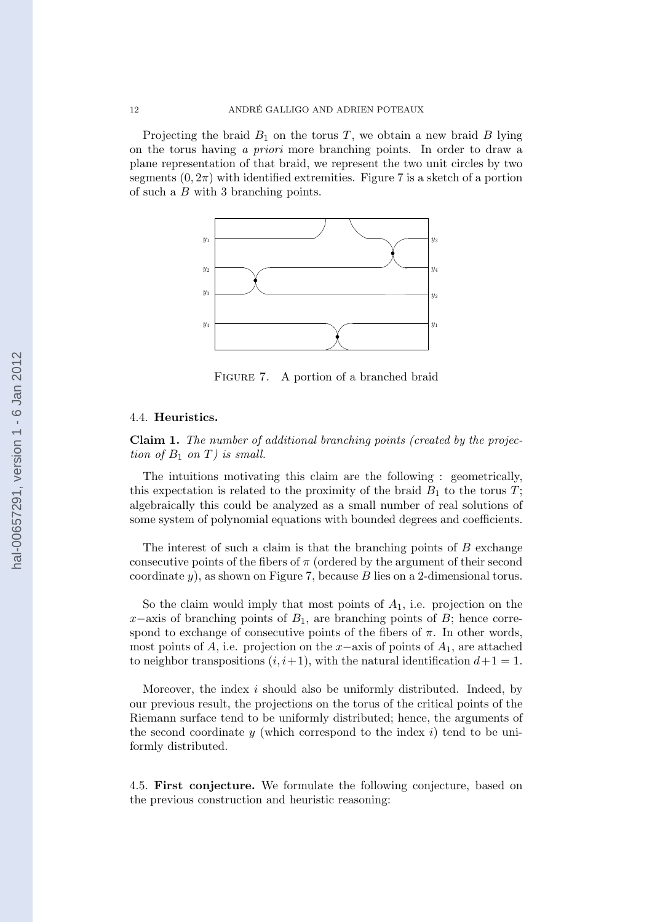Projecting the braid  $B_1$  on the torus T, we obtain a new braid B lying on the torus having a priori more branching points. In order to draw a plane representation of that braid, we represent the two unit circles by two segments  $(0, 2\pi)$  with identified extremities. Figure 7 is a sketch of a portion of such a B with 3 branching points.



FIGURE 7. A portion of a branched braid

## 4.4. Heuristics.

Claim 1. The number of additional branching points (created by the projection of  $B_1$  on T) is small.

The intuitions motivating this claim are the following : geometrically, this expectation is related to the proximity of the braid  $B_1$  to the torus T; algebraically this could be analyzed as a small number of real solutions of some system of polynomial equations with bounded degrees and coefficients.

The interest of such a claim is that the branching points of  $B$  exchange consecutive points of the fibers of  $\pi$  (ordered by the argument of their second coordinate  $y$ ), as shown on Figure 7, because  $B$  lies on a 2-dimensional torus.

So the claim would imply that most points of  $A_1$ , i.e. projection on the  $x$ −axis of branching points of  $B_1$ , are branching points of  $B$ ; hence correspond to exchange of consecutive points of the fibers of  $\pi$ . In other words, most points of A, i.e. projection on the x–axis of points of  $A_1$ , are attached to neighbor transpositions  $(i, i+1)$ , with the natural identification  $d+1 = 1$ .

Moreover, the index i should also be uniformly distributed. Indeed, by our previous result, the projections on the torus of the critical points of the Riemann surface tend to be uniformly distributed; hence, the arguments of the second coordinate  $y$  (which correspond to the index i) tend to be uniformly distributed.

4.5. First conjecture. We formulate the following conjecture, based on the previous construction and heuristic reasoning: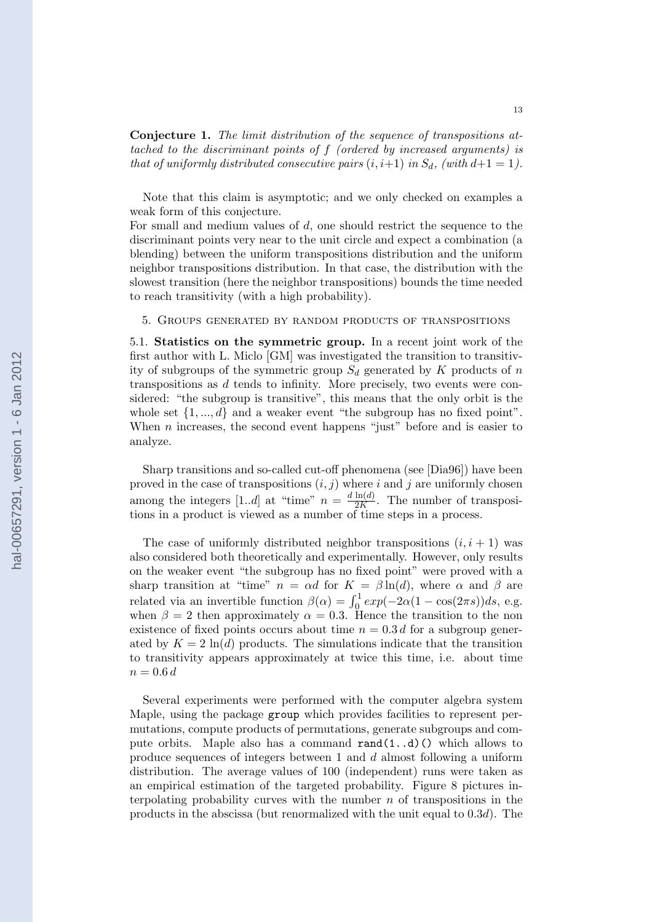Conjecture 1. The limit distribution of the sequence of transpositions attached to the discriminant points of f (ordered by increased arguments) is that of uniformly distributed consecutive pairs  $(i, i+1)$  in  $S_d$ , (with  $d+1 = 1$ ).

Note that this claim is asymptotic; and we only checked on examples a weak form of this conjecture.

For small and medium values of d, one should restrict the sequence to the discriminant points very near to the unit circle and expect a combination (a blending) between the uniform transpositions distribution and the uniform neighbor transpositions distribution. In that case, the distribution with the slowest transition (here the neighbor transpositions) bounds the time needed to reach transitivity (with a high probability).

5. Groups generated by random products of transpositions

5.1. Statistics on the symmetric group. In a recent joint work of the first author with L. Miclo [GM] was investigated the transition to transitivity of subgroups of the symmetric group  $S_d$  generated by K products of n transpositions as d tends to infinity. More precisely, two events were considered: "the subgroup is transitive", this means that the only orbit is the whole set  $\{1, ..., d\}$  and a weaker event "the subgroup has no fixed point". When  $n$  increases, the second event happens "just" before and is easier to analyze.

Sharp transitions and so-called cut-off phenomena (see [Dia96]) have been proved in the case of transpositions  $(i, j)$  where i and j are uniformly chosen among the integers [1..d] at "time"  $n = \frac{d \ln(d)}{2K}$  $\frac{\text{Im}(u)}{2K}$ . The number of transpositions in a product is viewed as a number of time steps in a process.

The case of uniformly distributed neighbor transpositions  $(i, i + 1)$  was also considered both theoretically and experimentally. However, only results on the weaker event "the subgroup has no fixed point" were proved with a sharp transition at "time"  $n = \alpha d$  for  $K = \beta \ln(d)$ , where  $\alpha$  and  $\beta$  are related via an invertible function  $\beta(\alpha) = \int_0^1 exp(-2\alpha(1 - \cos(2\pi s))ds, e.g.$ when  $\beta = 2$  then approximately  $\alpha = 0.3$ . Hence the transition to the non existence of fixed points occurs about time  $n = 0.3 d$  for a subgroup generated by  $K = 2 \ln(d)$  products. The simulations indicate that the transition to transitivity appears approximately at twice this time, i.e. about time  $n = 0.6 d$ 

Several experiments were performed with the computer algebra system Maple, using the package group which provides facilities to represent permutations, compute products of permutations, generate subgroups and compute orbits. Maple also has a command  $\text{rand}(1..d)$  () which allows to produce sequences of integers between 1 and d almost following a uniform distribution. The average values of 100 (independent) runs were taken as an empirical estimation of the targeted probability. Figure 8 pictures interpolating probability curves with the number  $n$  of transpositions in the products in the abscissa (but renormalized with the unit equal to  $0.3d$ ). The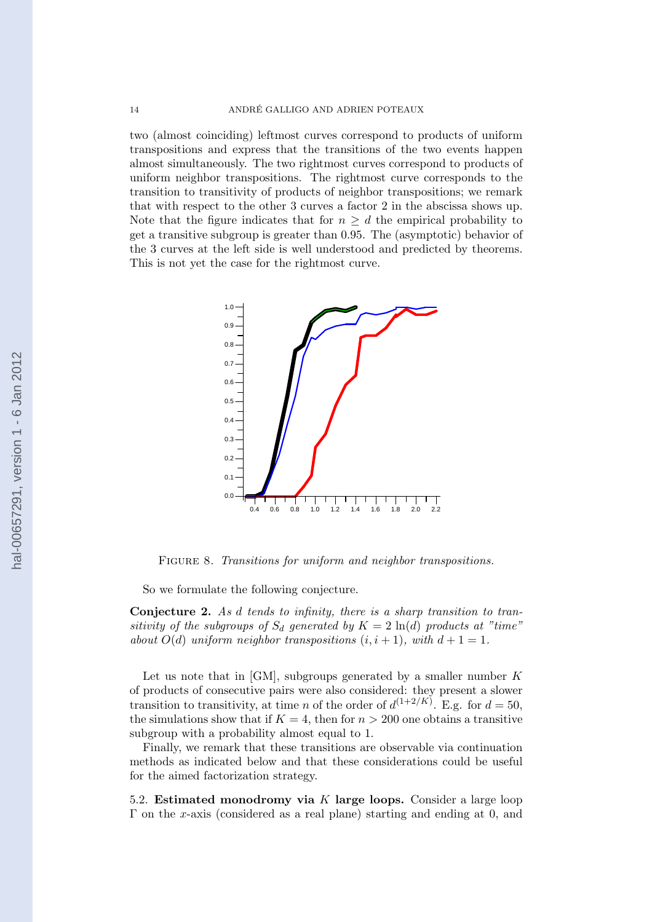#### 14 ANDRE GALLIGO AND ADRIEN POTEAUX ´

two (almost coinciding) leftmost curves correspond to products of uniform transpositions and express that the transitions of the two events happen almost simultaneously. The two rightmost curves correspond to products of uniform neighbor transpositions. The rightmost curve corresponds to the transition to transitivity of products of neighbor transpositions; we remark that with respect to the other 3 curves a factor 2 in the abscissa shows up. Note that the figure indicates that for  $n \geq d$  the empirical probability to get a transitive subgroup is greater than 0.95. The (asymptotic) behavior of the 3 curves at the left side is well understood and predicted by theorems. This is not yet the case for the rightmost curve.



FIGURE 8. Transitions for uniform and neighbor transpositions.

So we formulate the following conjecture.

Conjecture 2. As d tends to infinity, there is a sharp transition to transitivity of the subgroups of  $S_d$  generated by  $K = 2 \ln(d)$  products at "time" about  $O(d)$  uniform neighbor transpositions  $(i, i + 1)$ , with  $d + 1 = 1$ .

Let us note that in  $[GM]$ , subgroups generated by a smaller number  $K$ of products of consecutive pairs were also considered: they present a slower transition to transitivity, at time *n* of the order of  $d^{(1+2/K)}$ . E.g. for  $d = 50$ , the simulations show that if  $K = 4$ , then for  $n > 200$  one obtains a transitive subgroup with a probability almost equal to 1.

Finally, we remark that these transitions are observable via continuation methods as indicated below and that these considerations could be useful for the aimed factorization strategy.

5.2. Estimated monodromy via K large loops. Consider a large loop  $\Gamma$  on the x-axis (considered as a real plane) starting and ending at 0, and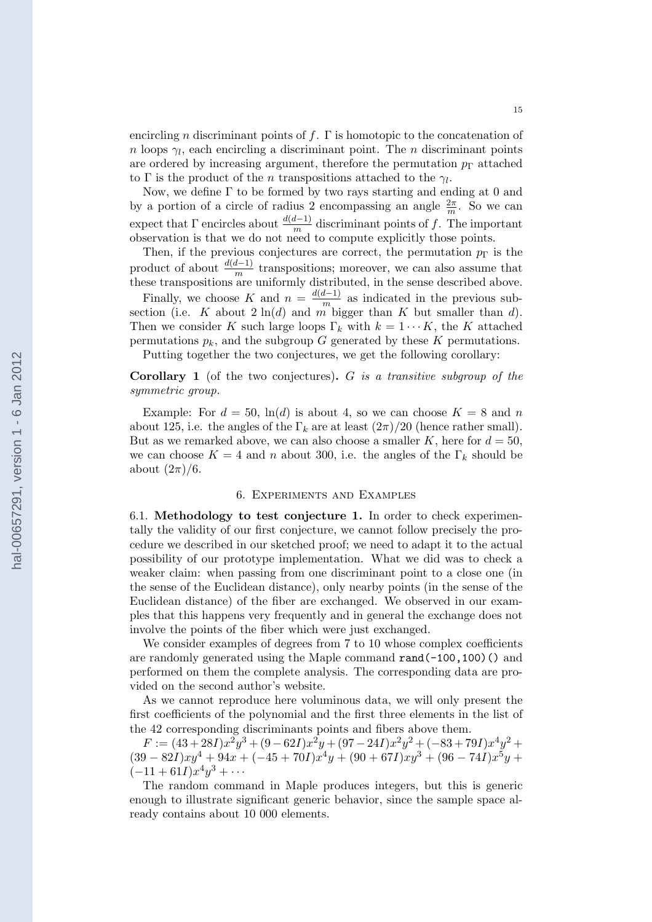encircling n discriminant points of f.  $\Gamma$  is homotopic to the concatenation of *n* loops  $\gamma_l$ , each encircling a discriminant point. The *n* discriminant points are ordered by increasing argument, therefore the permutation  $p_{\Gamma}$  attached to  $\Gamma$  is the product of the *n* transpositions attached to the  $\gamma_l$ .

Now, we define  $\Gamma$  to be formed by two rays starting and ending at 0 and by a portion of a circle of radius 2 encompassing an angle  $\frac{2\pi}{m}$ . So we can expect that  $\Gamma$  encircles about  $\frac{d(d-1)}{m}$  discriminant points of f. The important observation is that we do not need to compute explicitly those points.

Then, if the previous conjectures are correct, the permutation  $p_{\Gamma}$  is the product of about  $\frac{d(d-1)}{m}$  transpositions; moreover, we can also assume that these transpositions are uniformly distributed, in the sense described above.

Finally, we choose K and  $n = \frac{d(d-1)}{m}$  $\frac{n-1}{m}$  as indicated in the previous subsection (i.e. K about  $2 \ln(d)$  and m bigger than K but smaller than d). Then we consider K such large loops  $\Gamma_k$  with  $k = 1 \cdots K$ , the K attached permutations  $p_k$ , and the subgroup G generated by these K permutations.

Putting together the two conjectures, we get the following corollary:

**Corollary 1** (of the two conjectures).  $G$  is a transitive subgroup of the symmetric group.

Example: For  $d = 50$ ,  $\ln(d)$  is about 4, so we can choose  $K = 8$  and n about 125, i.e. the angles of the  $\Gamma_k$  are at least  $(2\pi)/20$  (hence rather small). But as we remarked above, we can also choose a smaller K, here for  $d = 50$ , we can choose  $K = 4$  and n about 300, i.e. the angles of the  $\Gamma_k$  should be about  $(2\pi)/6$ .

### 6. Experiments and Examples

6.1. Methodology to test conjecture 1. In order to check experimentally the validity of our first conjecture, we cannot follow precisely the procedure we described in our sketched proof; we need to adapt it to the actual possibility of our prototype implementation. What we did was to check a weaker claim: when passing from one discriminant point to a close one (in the sense of the Euclidean distance), only nearby points (in the sense of the Euclidean distance) of the fiber are exchanged. We observed in our examples that this happens very frequently and in general the exchange does not involve the points of the fiber which were just exchanged.

We consider examples of degrees from 7 to 10 whose complex coefficients are randomly generated using the Maple command rand(-100,100)() and performed on them the complete analysis. The corresponding data are provided on the second author's website.

As we cannot reproduce here voluminous data, we will only present the first coefficients of the polynomial and the first three elements in the list of the 42 corresponding discriminants points and fibers above them.

 $F := (43 + 28I)x^2y^3 + (9 - 62I)x^2y + (97 - 24I)x^2y^2 + (-83 + 79I)x^4y^2 +$  $(39 - 82I)xy^{4} + 94x + (-45 + 70I)x^{4}y + (90 + 67I)xy^{3} + (96 - 74I)x^{5}y +$  $(-11+61I)x^{4}y^{3}+\cdots$ 

The random command in Maple produces integers, but this is generic enough to illustrate significant generic behavior, since the sample space already contains about 10 000 elements.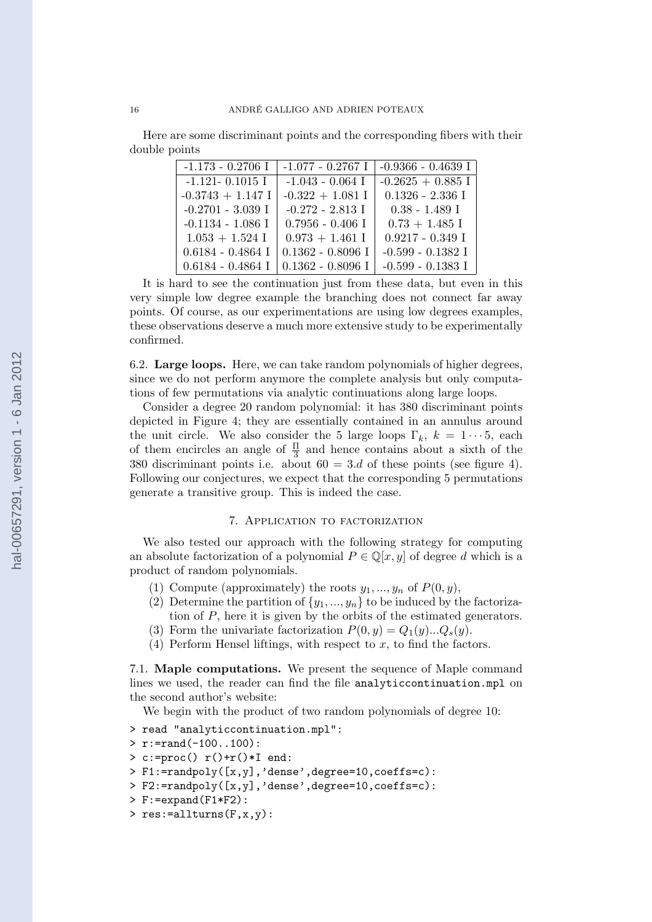Here are some discriminant points and the corresponding fibers with their double points

| $-1.173 - 0.2706$ I | $-1.077 - 0.2767$ I | $-0.9366 - 0.4639$ I |
|---------------------|---------------------|----------------------|
| $-1.121 - 0.1015$ I | $-1.043 - 0.064$ I  | $-0.2625 + 0.885$ I  |
| $-0.3743 + 1.147$ I | $-0.322 + 1.081$ I  | $0.1326 - 2.336$ I   |
| $-0.2701 - 3.039$ I | $-0.272 - 2.813$ I  | $0.38 - 1.489$ I     |
| $-0.1134 - 1.086$ I | $0.7956 - 0.406$ I  | $0.73 + 1.485$ I     |
| $1.053 + 1.524$ I   | $0.973 + 1.461$ I   | $0.9217 - 0.349$ I   |
| $0.6184 - 0.4864$ I | $0.1362 - 0.8096$ I | $-0.599 - 0.1382$ I  |
| $0.6184 - 0.4864$ I | $0.1362 - 0.8096$ I | $-0.599 - 0.1383$ I  |

It is hard to see the continuation just from these data, but even in this very simple low degree example the branching does not connect far away points. Of course, as our experimentations are using low degrees examples, these observations deserve a much more extensive study to be experimentally confirmed.

6.2. Large loops. Here, we can take random polynomials of higher degrees, since we do not perform anymore the complete analysis but only computations of few permutations via analytic continuations along large loops.

Consider a degree 20 random polynomial: it has 380 discriminant points depicted in Figure 4; they are essentially contained in an annulus around the unit circle. We also consider the 5 large loops  $\Gamma_k$ ,  $k = 1 \cdots 5$ , each of them encircles an angle of  $\frac{\Pi}{3}$  and hence contains about a sixth of the 380 discriminant points i.e. about  $60 = 3.d$  of these points (see figure 4). Following our conjectures, we expect that the corresponding 5 permutations generate a transitive group. This is indeed the case.

## 7. Application to factorization

We also tested our approach with the following strategy for computing an absolute factorization of a polynomial  $P \in \mathbb{Q}[x, y]$  of degree d which is a product of random polynomials.

- (1) Compute (approximately) the roots  $y_1, ..., y_n$  of  $P(0, y)$ ,
- (2) Determine the partition of  $\{y_1, \ldots, y_n\}$  to be induced by the factorization of P, here it is given by the orbits of the estimated generators.
- (3) Form the univariate factorization  $P(0, y) = Q_1(y)...Q_s(y)$ .
- (4) Perform Hensel liftings, with respect to  $x$ , to find the factors.

7.1. Maple computations. We present the sequence of Maple command lines we used, the reader can find the file analyticcontinuation.mpl on the second author's website:

We begin with the product of two random polynomials of degree 10:

- > read "analyticcontinuation.mpl":
- $> r:=rand(-100..100)$ :
- $> c:=$ proc()  $r() + r() * I$  end:
- > F1:=randpoly([x,y],'dense',degree=10,coeffs=c):
- > F2:=randpoly([x,y],'dense',degree=10,coeffs=c):
- > F:=expand(F1\*F2):
- > res:=allturns(F,x,y):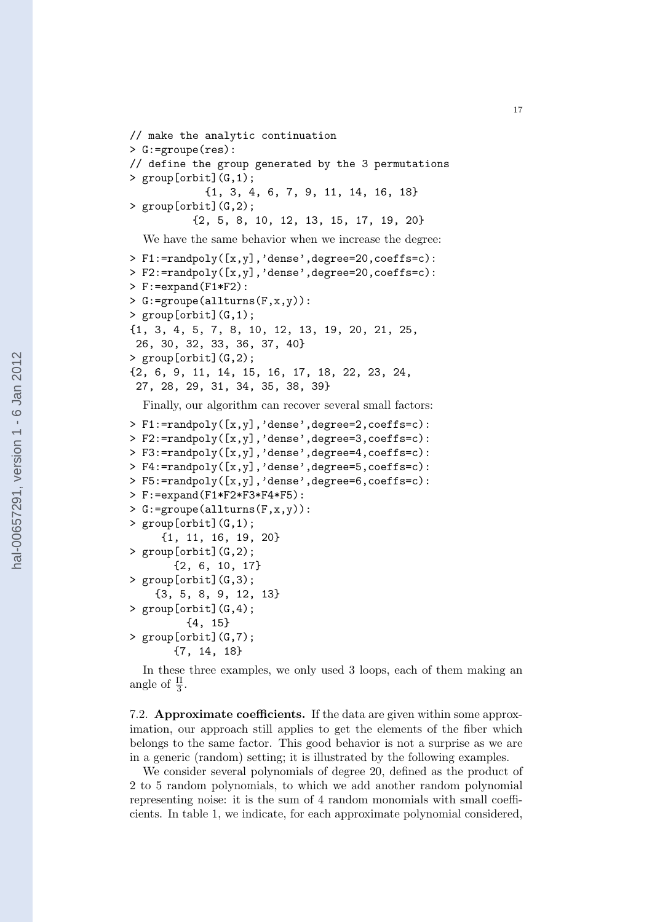```
// make the analytic continuation
> G:=groupe(res):
// define the group generated by the 3 permutations
> group[orbit](G,1);
            {1, 3, 4, 6, 7, 9, 11, 14, 16, 18}
> group[orbit](G,2);
          {2, 5, 8, 10, 12, 13, 15, 17, 19, 20}
  We have the same behavior when we increase the degree:
> F1:=randpoly([x,y],'dense',degree=20,coeffs=c):
> F2:=randpoly([x,y],'dense',degree=20,coeffs=c):
> F:=expand(F1*F2):
> G:=groupe(allturns(F,x,y)):
> group[orbit](G,1);
{1, 3, 4, 5, 7, 8, 10, 12, 13, 19, 20, 21, 25,
 26, 30, 32, 33, 36, 37, 40}
> group[orbit](G,2);
{2, 6, 9, 11, 14, 15, 16, 17, 18, 22, 23, 24,
 27, 28, 29, 31, 34, 35, 38, 39}
  Finally, our algorithm can recover several small factors:
> F1:=randpoly([x,y],'dense',degree=2,coeffs=c):
> F2:=randpoly([x,y],'dense',degree=3,coeffs=c):
> F3:=randpoly([x,y],'dense',degree=4,coeffs=c):
> F4:=randpoly([x,y],'dense',degree=5,coeffs=c):
> F5:=randpoly([x,y],'dense',degree=6,coeffs=c):
> F:=expand(F1*F2*F3*F4*F5):
> G:=groupe(allturns(F,x,y)):
> group[orbit](G,1);
     {1, 11, 16, 19, 20}
> group[orbit](G,2);
       {2, 6, 10, 17}
> group[orbit](G,3);
    {3, 5, 8, 9, 12, 13}
> group[orbit](G,4);
         {4, 15}
> group[orbit](G,7);
       {7, 14, 18}
```
In these three examples, we only used 3 loops, each of them making an angle of  $\frac{\Pi}{3}$ .

7.2. Approximate coefficients. If the data are given within some approximation, our approach still applies to get the elements of the fiber which belongs to the same factor. This good behavior is not a surprise as we are in a generic (random) setting; it is illustrated by the following examples.

We consider several polynomials of degree 20, defined as the product of 2 to 5 random polynomials, to which we add another random polynomial representing noise: it is the sum of 4 random monomials with small coefficients. In table 1, we indicate, for each approximate polynomial considered,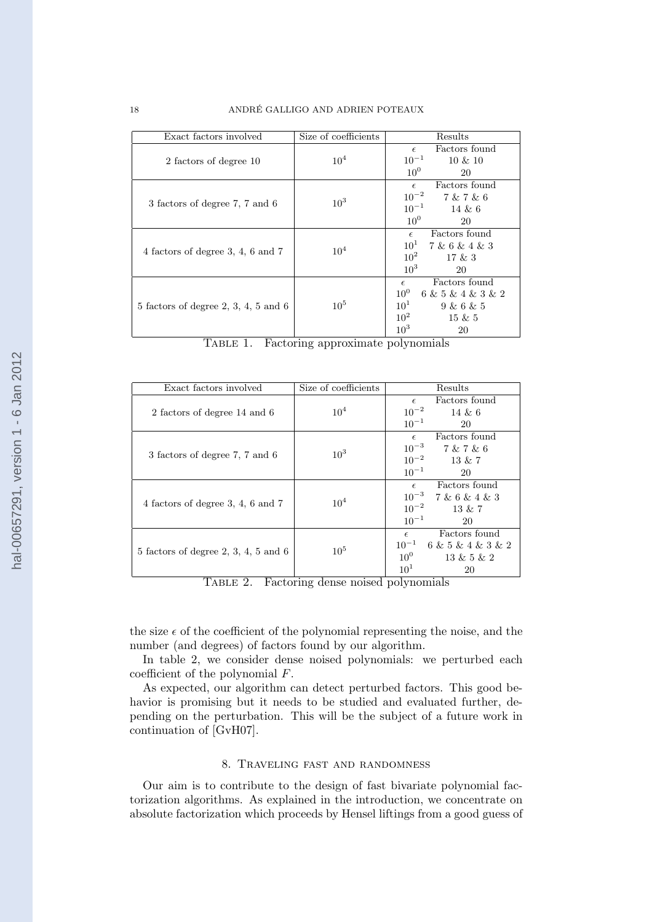| Exact factors involved                 | Size of coefficients | Results                              |
|----------------------------------------|----------------------|--------------------------------------|
|                                        |                      | Factors found<br>$\epsilon$          |
| 2 factors of degree 10                 | 10 <sup>4</sup>      | $10^{-1}$<br>$10 \& 10$              |
|                                        |                      | 10 <sup>0</sup><br>20                |
|                                        |                      | Factors found<br>$\epsilon$          |
| 3 factors of degree 7, 7 and 6         | 10 <sup>3</sup>      | $10^{-2}$<br>7 & 7 & 6               |
|                                        |                      | $10^{-1}$<br>14 & 6                  |
|                                        |                      | 10 <sup>0</sup><br>20                |
|                                        |                      | $\epsilon$ Factors found             |
| 4 factors of degree 3, 4, 6 and 7      | $10^{4}$             | $10^1$ 7 & 6 & 4 & 3                 |
|                                        |                      | $10^2$<br>17 & 3                     |
|                                        |                      | 10 <sup>3</sup><br>20                |
|                                        | $10^{5}$             | Factors found<br>$\epsilon$          |
|                                        |                      | 10 <sup>0</sup><br>6 & 5 & 4 & 3 & 2 |
| $5$ factors of degree 2, 3, 4, 5 and 6 |                      | $10^1$<br>9 & 6 & 5                  |
|                                        |                      | $10^2$<br>$15 \& 5$                  |
|                                        |                      | 10 <sup>3</sup><br>20                |

| TABLE 1. |  | Factoring approximate polynomials |  |
|----------|--|-----------------------------------|--|
|          |  |                                   |  |
|          |  |                                   |  |

| Exact factors involved                 | Size of coefficients | Results                                                                                                        |  |
|----------------------------------------|----------------------|----------------------------------------------------------------------------------------------------------------|--|
| 2 factors of degree 14 and 6           | $10^{4}$             | Factors found<br>$\epsilon$<br>$10^{-2}$<br>$14 \& 6$<br>$10^{-1}$<br>20                                       |  |
| 3 factors of degree 7, 7 and 6         | $10^3$               | Factors found<br>$\epsilon$<br>$10^{-3}$<br>7 & 7 & 6<br>$10^{-2}$<br>13 & 7<br>$10^{-1}$<br>20                |  |
| 4 factors of degree $3, 4, 6$ and $7$  | $10^{4}$             | Factors found<br>$\epsilon$<br>$10^{-3}$<br>7 & 6 & 4 & 3<br>$10^{-2}$<br>13 & 7<br>$10^{-1}$<br>20            |  |
| $5$ factors of degree 2, 3, 4, 5 and 6 | $10^{5}$             | Factors found<br>$\epsilon$<br>$10^{-1}$<br>6 & 5 & 4 & 3 & 2<br>$10^0$<br>13 & 5 & 2<br>10 <sup>1</sup><br>20 |  |

Table 2. Factoring dense noised polynomials

the size  $\epsilon$  of the coefficient of the polynomial representing the noise, and the number (and degrees) of factors found by our algorithm.

In table 2, we consider dense noised polynomials: we perturbed each coefficient of the polynomial F.

As expected, our algorithm can detect perturbed factors. This good behavior is promising but it needs to be studied and evaluated further, depending on the perturbation. This will be the subject of a future work in continuation of [GvH07].

### 8. Traveling fast and randomness

Our aim is to contribute to the design of fast bivariate polynomial factorization algorithms. As explained in the introduction, we concentrate on absolute factorization which proceeds by Hensel liftings from a good guess of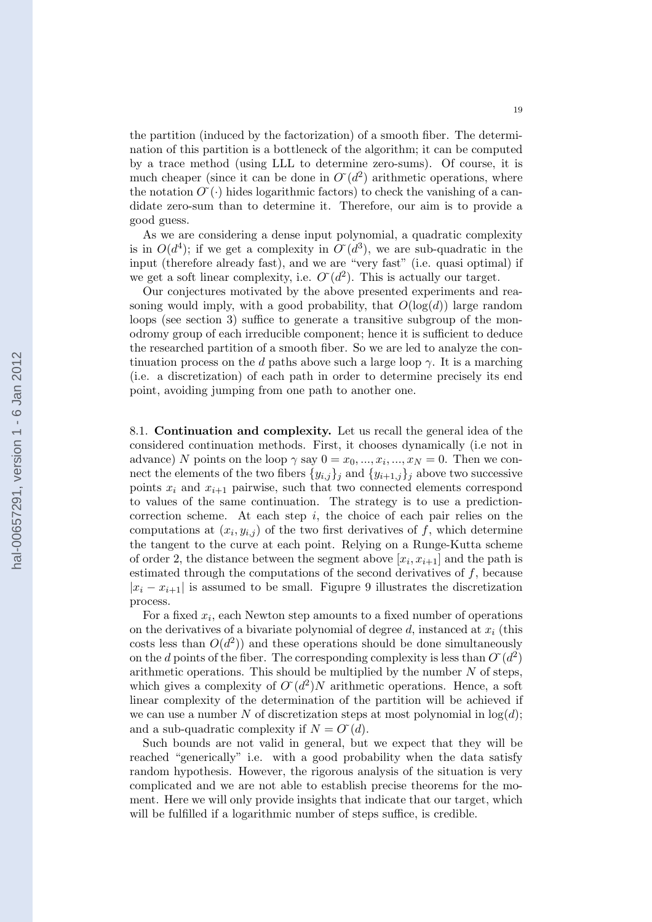the partition (induced by the factorization) of a smooth fiber. The determination of this partition is a bottleneck of the algorithm; it can be computed by a trace method (using LLL to determine zero-sums). Of course, it is much cheaper (since it can be done in  $O(d^2)$  arithmetic operations, where the notation  $O(\cdot)$  hides logarithmic factors) to check the vanishing of a candidate zero-sum than to determine it. Therefore, our aim is to provide a good guess.

As we are considering a dense input polynomial, a quadratic complexity is in  $O(d^4)$ ; if we get a complexity in  $O'(d^3)$ , we are sub-quadratic in the input (therefore already fast), and we are "very fast" (i.e. quasi optimal) if we get a soft linear complexity, i.e.  $O(d^2)$ . This is actually our target.

Our conjectures motivated by the above presented experiments and reasoning would imply, with a good probability, that  $O(\log(d))$  large random loops (see section 3) suffice to generate a transitive subgroup of the monodromy group of each irreducible component; hence it is sufficient to deduce the researched partition of a smooth fiber. So we are led to analyze the continuation process on the d paths above such a large loop  $\gamma$ . It is a marching (i.e. a discretization) of each path in order to determine precisely its end point, avoiding jumping from one path to another one.

8.1. Continuation and complexity. Let us recall the general idea of the considered continuation methods. First, it chooses dynamically (i.e not in advance) N points on the loop  $\gamma$  say  $0 = x_0, ..., x_i, ..., x_N = 0$ . Then we connect the elements of the two fibers  $\{y_{i,j}\}_j$  and  $\{y_{i+1,j}\}_j$  above two successive points  $x_i$  and  $x_{i+1}$  pairwise, such that two connected elements correspond to values of the same continuation. The strategy is to use a predictioncorrection scheme. At each step  $i$ , the choice of each pair relies on the computations at  $(x_i, y_{i,j})$  of the two first derivatives of f, which determine the tangent to the curve at each point. Relying on a Runge-Kutta scheme of order 2, the distance between the segment above  $[x_i, x_{i+1}]$  and the path is estimated through the computations of the second derivatives of f, because  $|x_i - x_{i+1}|$  is assumed to be small. Figupre 9 illustrates the discretization process.

For a fixed  $x_i$ , each Newton step amounts to a fixed number of operations on the derivatives of a bivariate polynomial of degree d, instanced at  $x_i$  (this costs less than  $O(d^2)$  and these operations should be done simultaneously on the d points of the fiber. The corresponding complexity is less than  $O'(d^2)$ arithmetic operations. This should be multiplied by the number  $N$  of steps, which gives a complexity of  $O'(d^2)N$  arithmetic operations. Hence, a soft linear complexity of the determination of the partition will be achieved if we can use a number N of discretization steps at most polynomial in  $log(d)$ ; and a sub-quadratic complexity if  $N = O<sup>(d)</sup>$ .

Such bounds are not valid in general, but we expect that they will be reached "generically" i.e. with a good probability when the data satisfy random hypothesis. However, the rigorous analysis of the situation is very complicated and we are not able to establish precise theorems for the moment. Here we will only provide insights that indicate that our target, which will be fulfilled if a logarithmic number of steps suffice, is credible.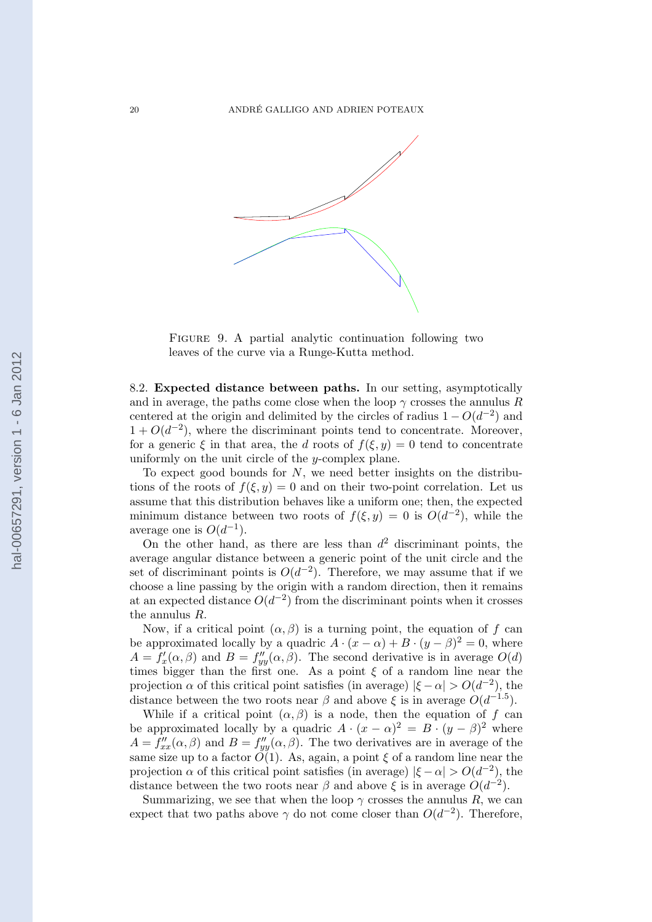

FIGURE 9. A partial analytic continuation following two leaves of the curve via a Runge-Kutta method.

8.2. Expected distance between paths. In our setting, asymptotically and in average, the paths come close when the loop  $\gamma$  crosses the annulus R centered at the origin and delimited by the circles of radius  $1 - O(d^{-2})$  and  $1 + O(d^{-2})$ , where the discriminant points tend to concentrate. Moreover, for a generic  $\xi$  in that area, the d roots of  $f(\xi, y) = 0$  tend to concentrate uniformly on the unit circle of the y-complex plane.

To expect good bounds for  $N$ , we need better insights on the distributions of the roots of  $f(\xi, y) = 0$  and on their two-point correlation. Let us assume that this distribution behaves like a uniform one; then, the expected minimum distance between two roots of  $f(\xi, y) = 0$  is  $O(d^{-2})$ , while the average one is  $O(d^{-1})$ .

On the other hand, as there are less than  $d^2$  discriminant points, the average angular distance between a generic point of the unit circle and the set of discriminant points is  $O(d^{-2})$ . Therefore, we may assume that if we choose a line passing by the origin with a random direction, then it remains at an expected distance  $O(d^{-2})$  from the discriminant points when it crosses the annulus R.

Now, if a critical point  $(\alpha, \beta)$  is a turning point, the equation of f can be approximated locally by a quadric  $A \cdot (x - \alpha) + B \cdot (y - \beta)^2 = 0$ , where  $A = f'_x(\alpha, \beta)$  and  $B = f''_{yy}(\alpha, \beta)$ . The second derivative is in average  $O(d)$ times bigger than the first one. As a point  $\xi$  of a random line near the projection  $\alpha$  of this critical point satisfies (in average)  $|\xi - \alpha| > O(d^{-2})$ , the distance between the two roots near  $\beta$  and above  $\xi$  is in average  $O(d^{-1.5})$ .

While if a critical point  $(\alpha, \beta)$  is a node, then the equation of f can be approximated locally by a quadric  $A \cdot (x - \alpha)^2 = B \cdot (y - \beta)^2$  where  $A = f''_{xx}(\alpha, \beta)$  and  $B = f''_{yy}(\alpha, \beta)$ . The two derivatives are in average of the same size up to a factor  $O(1)$ . As, again, a point  $\xi$  of a random line near the projection  $\alpha$  of this critical point satisfies (in average)  $|\xi - \alpha| > O(d^{-2})$ , the distance between the two roots near  $\beta$  and above  $\xi$  is in average  $O(d^{-2})$ .

Summarizing, we see that when the loop  $\gamma$  crosses the annulus R, we can expect that two paths above  $\gamma$  do not come closer than  $O(d^{-2})$ . Therefore,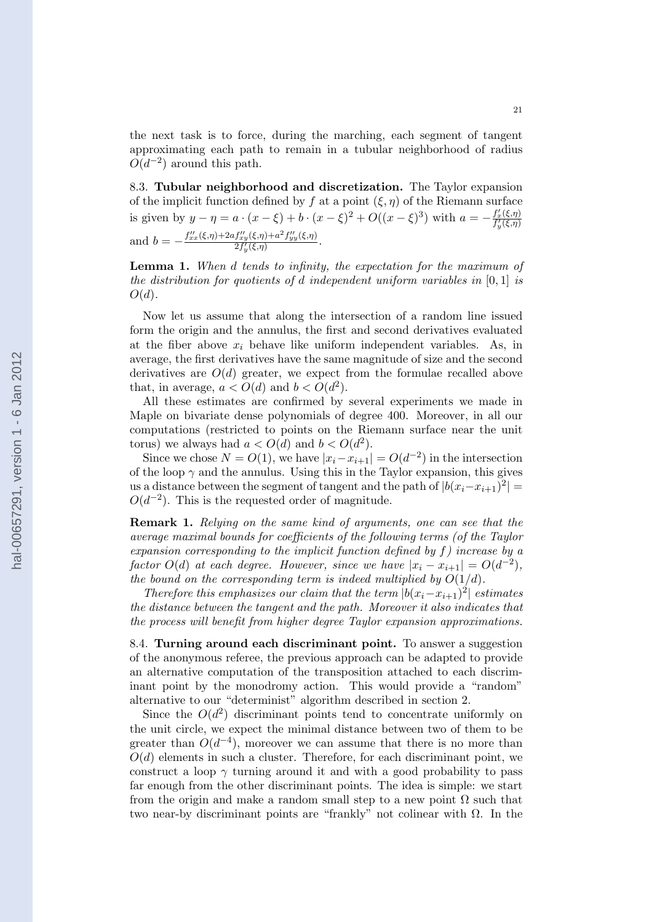the next task is to force, during the marching, each segment of tangent approximating each path to remain in a tubular neighborhood of radius  $O(d^{-2})$  around this path.

8.3. Tubular neighborhood and discretization. The Taylor expansion of the implicit function defined by f at a point  $(\xi, \eta)$  of the Riemann surface is given by  $y - \eta = a \cdot (x - \xi) + b \cdot (x - \xi)^2 + O((x - \xi)^3)$  with  $a = -\frac{f'_x(\xi, \eta)}{f'_y(\xi, \eta)}$ and  $b = -\frac{f''_{xx}(\xi,\eta) + 2af''_{xy}(\xi,\eta) + a^2f''_{yy}(\xi,\eta)}{2f'_u(\xi,\eta)}$  $\frac{\int xy(s,\eta)+a_{Jyy}(s,\eta)}{2f'_y(\xi,\eta)}$ .

Lemma 1. When d tends to infinity, the expectation for the maximum of the distribution for quotients of d independent uniform variables in  $[0,1]$  is  $O(d)$ .

Now let us assume that along the intersection of a random line issued form the origin and the annulus, the first and second derivatives evaluated at the fiber above  $x_i$  behave like uniform independent variables. As, in average, the first derivatives have the same magnitude of size and the second derivatives are  $O(d)$  greater, we expect from the formulae recalled above that, in average,  $a < O(d)$  and  $b < O(d^2)$ .

All these estimates are confirmed by several experiments we made in Maple on bivariate dense polynomials of degree 400. Moreover, in all our computations (restricted to points on the Riemann surface near the unit torus) we always had  $a < O(d)$  and  $b < O(d^2)$ .

Since we chose  $N = O(1)$ , we have  $|x_i - x_{i+1}| = O(d^{-2})$  in the intersection of the loop  $\gamma$  and the annulus. Using this in the Taylor expansion, this gives us a distance between the segment of tangent and the path of  $|b(x_i-x_{i+1})^2|$  =  $O(d^{-2})$ . This is the requested order of magnitude.

Remark 1. Relying on the same kind of arguments, one can see that the average maximal bounds for coefficients of the following terms (of the Taylor expansion corresponding to the implicit function defined by f) increase by a factor  $O(d)$  at each degree. However, since we have  $|x_i - x_{i+1}| = O(d^{-2}),$ the bound on the corresponding term is indeed multiplied by  $O(1/d)$ .

Therefore this emphasizes our claim that the term  $|b(x_i-x_{i+1})^2|$  estimates the distance between the tangent and the path. Moreover it also indicates that the process will benefit from higher degree Taylor expansion approximations.

8.4. Turning around each discriminant point. To answer a suggestion of the anonymous referee, the previous approach can be adapted to provide an alternative computation of the transposition attached to each discriminant point by the monodromy action. This would provide a "random" alternative to our "determinist" algorithm described in section 2.

Since the  $O(d^2)$  discriminant points tend to concentrate uniformly on the unit circle, we expect the minimal distance between two of them to be greater than  $O(d^{-4})$ , moreover we can assume that there is no more than  $O(d)$  elements in such a cluster. Therefore, for each discriminant point, we construct a loop  $\gamma$  turning around it and with a good probability to pass far enough from the other discriminant points. The idea is simple: we start from the origin and make a random small step to a new point  $\Omega$  such that two near-by discriminant points are "frankly" not colinear with  $\Omega$ . In the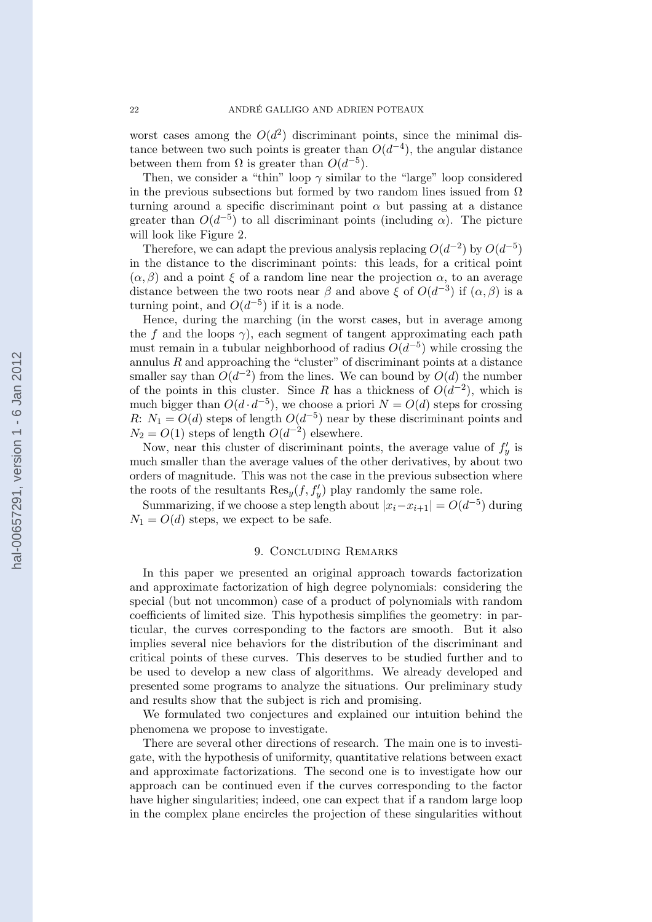worst cases among the  $O(d^2)$  discriminant points, since the minimal distance between two such points is greater than  $O(d^{-4})$ , the angular distance between them from  $\Omega$  is greater than  $O(d^{-5})$ .

Then, we consider a "thin" loop  $\gamma$  similar to the "large" loop considered in the previous subsections but formed by two random lines issued from  $\Omega$ turning around a specific discriminant point  $\alpha$  but passing at a distance greater than  $O(d^{-5})$  to all discriminant points (including  $\alpha$ ). The picture will look like Figure 2.

Therefore, we can adapt the previous analysis replacing  $O(d^{-2})$  by  $O(d^{-5})$ in the distance to the discriminant points: this leads, for a critical point  $(\alpha, \beta)$  and a point  $\xi$  of a random line near the projection  $\alpha$ , to an average distance between the two roots near  $\beta$  and above  $\xi$  of  $O(d^{-3})$  if  $(\alpha, \beta)$  is a turning point, and  $O(d^{-5})$  if it is a node.

Hence, during the marching (in the worst cases, but in average among the f and the loops  $\gamma$ ), each segment of tangent approximating each path must remain in a tubular neighborhood of radius  $O(d^{-5})$  while crossing the annulus  $R$  and approaching the "cluster" of discriminant points at a distance smaller say than  $O(d^{-2})$  from the lines. We can bound by  $O(d)$  the number of the points in this cluster. Since R has a thickness of  $O(d^{-2})$ , which is much bigger than  $O(d \cdot d^{-5})$ , we choose a priori  $N = O(d)$  steps for crossing R:  $N_1 = O(d)$  steps of length  $O(d^{-5})$  near by these discriminant points and  $N_2 = O(1)$  steps of length  $O(d^{-2})$  elsewhere.

Now, near this cluster of discriminant points, the average value of  $f'_y$  is much smaller than the average values of the other derivatives, by about two orders of magnitude. This was not the case in the previous subsection where the roots of the resultants  $\text{Res}_y(f, f'_y)$  play randomly the same role.

Summarizing, if we choose a step length about  $|x_i-x_{i+1}| = O(d^{-5})$  during  $N_1 = O(d)$  steps, we expect to be safe.

### 9. Concluding Remarks

In this paper we presented an original approach towards factorization and approximate factorization of high degree polynomials: considering the special (but not uncommon) case of a product of polynomials with random coefficients of limited size. This hypothesis simplifies the geometry: in particular, the curves corresponding to the factors are smooth. But it also implies several nice behaviors for the distribution of the discriminant and critical points of these curves. This deserves to be studied further and to be used to develop a new class of algorithms. We already developed and presented some programs to analyze the situations. Our preliminary study and results show that the subject is rich and promising.

We formulated two conjectures and explained our intuition behind the phenomena we propose to investigate.

There are several other directions of research. The main one is to investigate, with the hypothesis of uniformity, quantitative relations between exact and approximate factorizations. The second one is to investigate how our approach can be continued even if the curves corresponding to the factor have higher singularities; indeed, one can expect that if a random large loop in the complex plane encircles the projection of these singularities without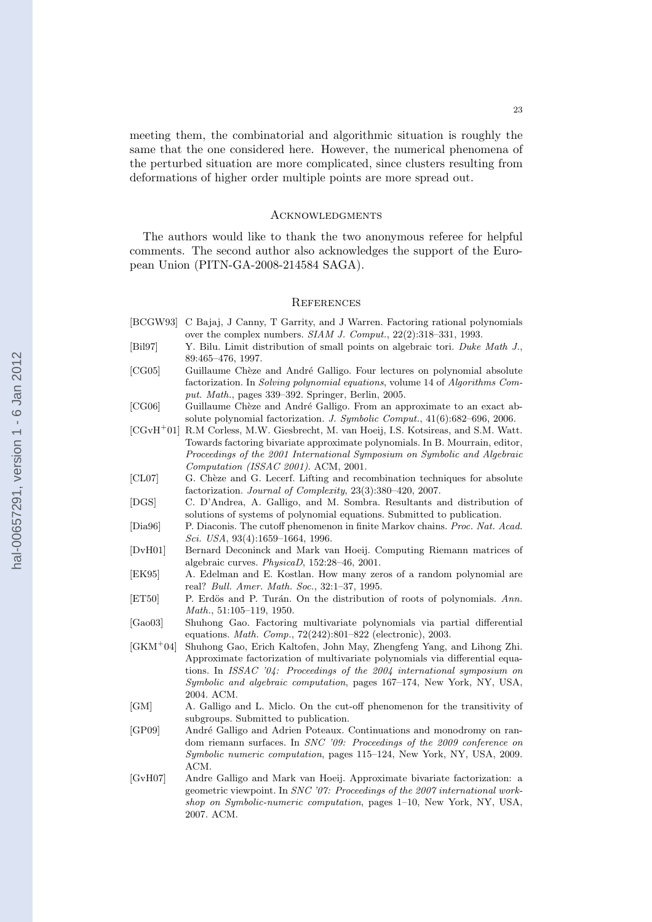meeting them, the combinatorial and algorithmic situation is roughly the same that the one considered here. However, the numerical phenomena of the perturbed situation are more complicated, since clusters resulting from deformations of higher order multiple points are more spread out.

#### **ACKNOWLEDGMENTS**

The authors would like to thank the two anonymous referee for helpful comments. The second author also acknowledges the support of the European Union (PITN-GA-2008-214584 SAGA).

#### **REFERENCES**

- [BCGW93] C Bajaj, J Canny, T Garrity, and J Warren. Factoring rational polynomials over the complex numbers. *SIAM J. Comput.*, 22(2):318–331, 1993.
- [Bil97] Y. Bilu. Limit distribution of small points on algebraic tori. *Duke Math J.*, 89:465–476, 1997.
- [CG05] Guillaume Chèze and André Galligo. Four lectures on polynomial absolute factorization. In *Solving polynomial equations*, volume 14 of *Algorithms Comput. Math.*, pages 339–392. Springer, Berlin, 2005.
- [CG06] Guillaume Chèze and André Galligo. From an approximate to an exact absolute polynomial factorization. *J. Symbolic Comput.*, 41(6):682–696, 2006.
- [CGvH<sup>+</sup>01] R.M Corless, M.W. Giesbrecht, M. van Hoeij, I.S. Kotsireas, and S.M. Watt. Towards factoring bivariate approximate polynomials. In B. Mourrain, editor, *Proceedings of the 2001 International Symposium on Symbolic and Algebraic Computation (ISSAC 2001)*. ACM, 2001.
- [CL07] G. Chèze and G. Lecerf. Lifting and recombination techniques for absolute factorization. *Journal of Complexity*, 23(3):380–420, 2007.
- [DGS] C. D'Andrea, A. Galligo, and M. Sombra. Resultants and distribution of solutions of systems of polynomial equations. Submitted to publication.
- [Dia96] P. Diaconis. The cutoff phenomenon in finite Markov chains. *Proc. Nat. Acad. Sci. USA*, 93(4):1659–1664, 1996.
- [DvH01] Bernard Deconinck and Mark van Hoeij. Computing Riemann matrices of algebraic curves. *PhysicaD*, 152:28–46, 2001.
- [EK95] A. Edelman and E. Kostlan. How many zeros of a random polynomial are real? *Bull. Amer. Math. Soc.*, 32:1–37, 1995.
- [ET50] P. Erdös and P. Turán. On the distribution of roots of polynomials. Ann. *Math.*, 51:105–119, 1950.
- [Gao03] Shuhong Gao. Factoring multivariate polynomials via partial differential equations. *Math. Comp.*, 72(242):801–822 (electronic), 2003.
- [GKM<sup>+</sup>04] Shuhong Gao, Erich Kaltofen, John May, Zhengfeng Yang, and Lihong Zhi. Approximate factorization of multivariate polynomials via differential equations. In *ISSAC '04: Proceedings of the 2004 international symposium on Symbolic and algebraic computation*, pages 167–174, New York, NY, USA, 2004. ACM.
- [GM] A. Galligo and L. Miclo. On the cut-off phenomenon for the transitivity of subgroups. Submitted to publication.
- [GP09] André Galligo and Adrien Poteaux. Continuations and monodromy on random riemann surfaces. In *SNC '09: Proceedings of the 2009 conference on Symbolic numeric computation*, pages 115–124, New York, NY, USA, 2009. ACM.
- [GvH07] Andre Galligo and Mark van Hoeij. Approximate bivariate factorization: a geometric viewpoint. In *SNC '07: Proceedings of the 2007 international workshop on Symbolic-numeric computation*, pages 1–10, New York, NY, USA, 2007. ACM.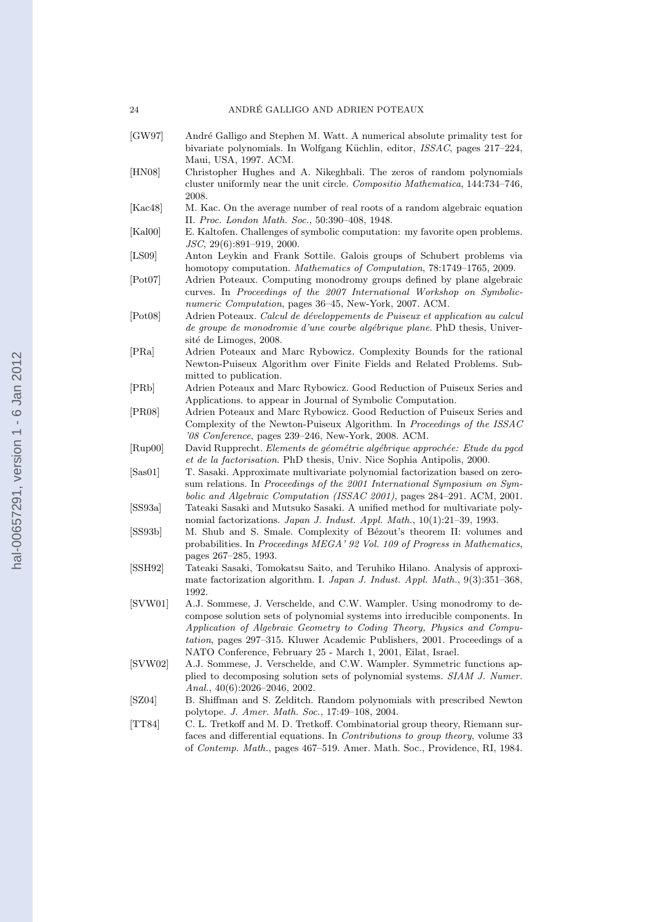#### 24 ANDRÉ GALLIGO AND ADRIEN POTEAUX

- [GW97] André Galligo and Stephen M. Watt. A numerical absolute primality test for bivariate polynomials. In Wolfgang Küchlin, editor, *ISSAC*, pages 217–224, Maui, USA, 1997. ACM.
- [HN08] Christopher Hughes and A. Nikeghbali. The zeros of random polynomials cluster uniformly near the unit circle. *Compositio Mathematica*, 144:734–746, 2008.
- [Kac48] M. Kac. On the average number of real roots of a random algebraic equation II. *Proc. London Math. Soc.*, 50:390–408, 1948.
- [Kal00] E. Kaltofen. Challenges of symbolic computation: my favorite open problems. *JSC*, 29(6):891–919, 2000.
- [LS09] Anton Leykin and Frank Sottile. Galois groups of Schubert problems via homotopy computation. *Mathematics of Computation*, 78:1749–1765, 2009.
- [Pot07] Adrien Poteaux. Computing monodromy groups defined by plane algebraic curves. In *Proceedings of the 2007 International Workshop on Symbolicnumeric Computation*, pages 36–45, New-York, 2007. ACM.
- [Pot08] Adrien Poteaux. *Calcul de d´eveloppements de Puiseux et application au calcul de groupe de monodromie d'une courbe alg´ebrique plane*. PhD thesis, Université de Limoges, 2008.
- [PRa] Adrien Poteaux and Marc Rybowicz. Complexity Bounds for the rational Newton-Puiseux Algorithm over Finite Fields and Related Problems. Submitted to publication.
- [PRb] Adrien Poteaux and Marc Rybowicz. Good Reduction of Puiseux Series and Applications. to appear in Journal of Symbolic Computation.
- [PR08] Adrien Poteaux and Marc Rybowicz. Good Reduction of Puiseux Series and Complexity of the Newton-Puiseux Algorithm. In *Proceedings of the ISSAC '08 Conference*, pages 239–246, New-York, 2008. ACM.
- [Rup00] David Rupprecht. *Elements de géométrie algébrique approchée: Etude du pgcd et de la factorisation*. PhD thesis, Univ. Nice Sophia Antipolis, 2000.
- [Sas01] T. Sasaki. Approximate multivariate polynomial factorization based on zerosum relations. In *Proceedings of the 2001 International Symposium on Symbolic and Algebraic Computation (ISSAC 2001)*, pages 284–291. ACM, 2001.
- [SS93a] Tateaki Sasaki and Mutsuko Sasaki. A unified method for multivariate polynomial factorizations. *Japan J. Indust. Appl. Math.*, 10(1):21–39, 1993.
- [SS93b] M. Shub and S. Smale. Complexity of Bézout's theorem II: volumes and probabilities. In *Proceedings MEGA' 92 Vol. 109 of Progress in Mathematics*, pages 267–285, 1993.
- [SSH92] Tateaki Sasaki, Tomokatsu Saito, and Teruhiko Hilano. Analysis of approximate factorization algorithm. I. *Japan J. Indust. Appl. Math.*, 9(3):351–368, 1992.
- [SVW01] A.J. Sommese, J. Verschelde, and C.W. Wampler. Using monodromy to decompose solution sets of polynomial systems into irreducible components. In *Application of Algebraic Geometry to Coding Theory, Physics and Computation*, pages 297–315. Kluwer Academic Publishers, 2001. Proceedings of a NATO Conference, February 25 - March 1, 2001, Eilat, Israel.
- [SVW02] A.J. Sommese, J. Verschelde, and C.W. Wampler. Symmetric functions applied to decomposing solution sets of polynomial systems. *SIAM J. Numer. Anal.*, 40(6):2026–2046, 2002.
- [SZ04] B. Shiffman and S. Zelditch. Random polynomials with prescribed Newton polytope. *J. Amer. Math. Soc.*, 17:49–108, 2004.
- [TT84] C. L. Tretkoff and M. D. Tretkoff. Combinatorial group theory, Riemann surfaces and differential equations. In *Contributions to group theory*, volume 33 of *Contemp. Math.*, pages 467–519. Amer. Math. Soc., Providence, RI, 1984.